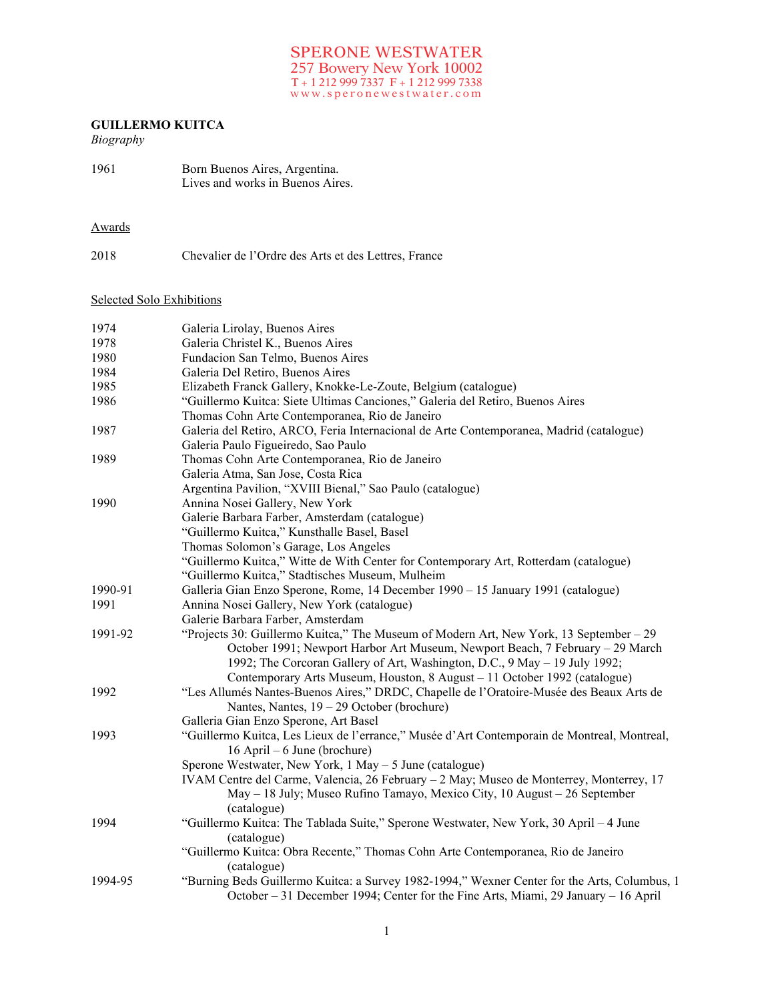## **GUILLERMO KUITCA**

# *Biography*

| 1961 | Born Buenos Aires, Argentina.    |
|------|----------------------------------|
|      | Lives and works in Buenos Aires. |

### Awards

| 2018 |  | Chevalier de l'Ordre des Arts et des Lettres, France |
|------|--|------------------------------------------------------|
|      |  |                                                      |

## Selected Solo Exhibitions

| 1978<br>Galeria Christel K., Buenos Aires<br>1980<br>Fundacion San Telmo, Buenos Aires<br>1984<br>Galeria Del Retiro, Buenos Aires<br>1985<br>Elizabeth Franck Gallery, Knokke-Le-Zoute, Belgium (catalogue)<br>1986<br>"Guillermo Kuitca: Siete Ultimas Canciones," Galeria del Retiro, Buenos Aires<br>Thomas Cohn Arte Contemporanea, Rio de Janeiro<br>Galeria del Retiro, ARCO, Feria Internacional de Arte Contemporanea, Madrid (catalogue)<br>1987<br>Galeria Paulo Figueiredo, Sao Paulo<br>1989<br>Thomas Cohn Arte Contemporanea, Rio de Janeiro<br>Galeria Atma, San Jose, Costa Rica<br>Argentina Pavilion, "XVIII Bienal," Sao Paulo (catalogue)<br>1990<br>Annina Nosei Gallery, New York<br>Galerie Barbara Farber, Amsterdam (catalogue)<br>"Guillermo Kuitca," Kunsthalle Basel, Basel<br>Thomas Solomon's Garage, Los Angeles<br>"Guillermo Kuitca," Witte de With Center for Contemporary Art, Rotterdam (catalogue)<br>"Guillermo Kuitca," Stadtisches Museum, Mulheim<br>Galleria Gian Enzo Sperone, Rome, 14 December 1990 - 15 January 1991 (catalogue)<br>1990-91<br>1991<br>Annina Nosei Gallery, New York (catalogue)<br>Galerie Barbara Farber, Amsterdam<br>"Projects 30: Guillermo Kuitca," The Museum of Modern Art, New York, 13 September - 29<br>1991-92<br>1992; The Corcoran Gallery of Art, Washington, D.C., 9 May - 19 July 1992;<br>Contemporary Arts Museum, Houston, 8 August - 11 October 1992 (catalogue)<br>1992<br>"Les Allumés Nantes-Buenos Aires," DRDC, Chapelle de l'Oratoire-Musée des Beaux Arts de<br>Nantes, Nantes, $19 - 29$ October (brochure)<br>Galleria Gian Enzo Sperone, Art Basel<br>"Guillermo Kuitca, Les Lieux de l'errance," Musée d'Art Contemporain de Montreal, Montreal,<br>1993<br>$16$ April – 6 June (brochure)<br>Sperone Westwater, New York, 1 May - 5 June (catalogue)<br>IVAM Centre del Carme, Valencia, 26 February - 2 May; Museo de Monterrey, Monterrey, 17 | 1974 | Galeria Lirolay, Buenos Aires                                                                |
|--------------------------------------------------------------------------------------------------------------------------------------------------------------------------------------------------------------------------------------------------------------------------------------------------------------------------------------------------------------------------------------------------------------------------------------------------------------------------------------------------------------------------------------------------------------------------------------------------------------------------------------------------------------------------------------------------------------------------------------------------------------------------------------------------------------------------------------------------------------------------------------------------------------------------------------------------------------------------------------------------------------------------------------------------------------------------------------------------------------------------------------------------------------------------------------------------------------------------------------------------------------------------------------------------------------------------------------------------------------------------------------------------------------------------------------------------------------------------------------------------------------------------------------------------------------------------------------------------------------------------------------------------------------------------------------------------------------------------------------------------------------------------------------------------------------------------------------------------------------------------------------------------------------------------------------------------|------|----------------------------------------------------------------------------------------------|
|                                                                                                                                                                                                                                                                                                                                                                                                                                                                                                                                                                                                                                                                                                                                                                                                                                                                                                                                                                                                                                                                                                                                                                                                                                                                                                                                                                                                                                                                                                                                                                                                                                                                                                                                                                                                                                                                                                                                                  |      |                                                                                              |
|                                                                                                                                                                                                                                                                                                                                                                                                                                                                                                                                                                                                                                                                                                                                                                                                                                                                                                                                                                                                                                                                                                                                                                                                                                                                                                                                                                                                                                                                                                                                                                                                                                                                                                                                                                                                                                                                                                                                                  |      |                                                                                              |
|                                                                                                                                                                                                                                                                                                                                                                                                                                                                                                                                                                                                                                                                                                                                                                                                                                                                                                                                                                                                                                                                                                                                                                                                                                                                                                                                                                                                                                                                                                                                                                                                                                                                                                                                                                                                                                                                                                                                                  |      |                                                                                              |
|                                                                                                                                                                                                                                                                                                                                                                                                                                                                                                                                                                                                                                                                                                                                                                                                                                                                                                                                                                                                                                                                                                                                                                                                                                                                                                                                                                                                                                                                                                                                                                                                                                                                                                                                                                                                                                                                                                                                                  |      |                                                                                              |
|                                                                                                                                                                                                                                                                                                                                                                                                                                                                                                                                                                                                                                                                                                                                                                                                                                                                                                                                                                                                                                                                                                                                                                                                                                                                                                                                                                                                                                                                                                                                                                                                                                                                                                                                                                                                                                                                                                                                                  |      |                                                                                              |
|                                                                                                                                                                                                                                                                                                                                                                                                                                                                                                                                                                                                                                                                                                                                                                                                                                                                                                                                                                                                                                                                                                                                                                                                                                                                                                                                                                                                                                                                                                                                                                                                                                                                                                                                                                                                                                                                                                                                                  |      |                                                                                              |
|                                                                                                                                                                                                                                                                                                                                                                                                                                                                                                                                                                                                                                                                                                                                                                                                                                                                                                                                                                                                                                                                                                                                                                                                                                                                                                                                                                                                                                                                                                                                                                                                                                                                                                                                                                                                                                                                                                                                                  |      |                                                                                              |
|                                                                                                                                                                                                                                                                                                                                                                                                                                                                                                                                                                                                                                                                                                                                                                                                                                                                                                                                                                                                                                                                                                                                                                                                                                                                                                                                                                                                                                                                                                                                                                                                                                                                                                                                                                                                                                                                                                                                                  |      |                                                                                              |
|                                                                                                                                                                                                                                                                                                                                                                                                                                                                                                                                                                                                                                                                                                                                                                                                                                                                                                                                                                                                                                                                                                                                                                                                                                                                                                                                                                                                                                                                                                                                                                                                                                                                                                                                                                                                                                                                                                                                                  |      |                                                                                              |
|                                                                                                                                                                                                                                                                                                                                                                                                                                                                                                                                                                                                                                                                                                                                                                                                                                                                                                                                                                                                                                                                                                                                                                                                                                                                                                                                                                                                                                                                                                                                                                                                                                                                                                                                                                                                                                                                                                                                                  |      |                                                                                              |
|                                                                                                                                                                                                                                                                                                                                                                                                                                                                                                                                                                                                                                                                                                                                                                                                                                                                                                                                                                                                                                                                                                                                                                                                                                                                                                                                                                                                                                                                                                                                                                                                                                                                                                                                                                                                                                                                                                                                                  |      |                                                                                              |
|                                                                                                                                                                                                                                                                                                                                                                                                                                                                                                                                                                                                                                                                                                                                                                                                                                                                                                                                                                                                                                                                                                                                                                                                                                                                                                                                                                                                                                                                                                                                                                                                                                                                                                                                                                                                                                                                                                                                                  |      |                                                                                              |
|                                                                                                                                                                                                                                                                                                                                                                                                                                                                                                                                                                                                                                                                                                                                                                                                                                                                                                                                                                                                                                                                                                                                                                                                                                                                                                                                                                                                                                                                                                                                                                                                                                                                                                                                                                                                                                                                                                                                                  |      |                                                                                              |
|                                                                                                                                                                                                                                                                                                                                                                                                                                                                                                                                                                                                                                                                                                                                                                                                                                                                                                                                                                                                                                                                                                                                                                                                                                                                                                                                                                                                                                                                                                                                                                                                                                                                                                                                                                                                                                                                                                                                                  |      |                                                                                              |
|                                                                                                                                                                                                                                                                                                                                                                                                                                                                                                                                                                                                                                                                                                                                                                                                                                                                                                                                                                                                                                                                                                                                                                                                                                                                                                                                                                                                                                                                                                                                                                                                                                                                                                                                                                                                                                                                                                                                                  |      |                                                                                              |
|                                                                                                                                                                                                                                                                                                                                                                                                                                                                                                                                                                                                                                                                                                                                                                                                                                                                                                                                                                                                                                                                                                                                                                                                                                                                                                                                                                                                                                                                                                                                                                                                                                                                                                                                                                                                                                                                                                                                                  |      |                                                                                              |
|                                                                                                                                                                                                                                                                                                                                                                                                                                                                                                                                                                                                                                                                                                                                                                                                                                                                                                                                                                                                                                                                                                                                                                                                                                                                                                                                                                                                                                                                                                                                                                                                                                                                                                                                                                                                                                                                                                                                                  |      |                                                                                              |
|                                                                                                                                                                                                                                                                                                                                                                                                                                                                                                                                                                                                                                                                                                                                                                                                                                                                                                                                                                                                                                                                                                                                                                                                                                                                                                                                                                                                                                                                                                                                                                                                                                                                                                                                                                                                                                                                                                                                                  |      |                                                                                              |
|                                                                                                                                                                                                                                                                                                                                                                                                                                                                                                                                                                                                                                                                                                                                                                                                                                                                                                                                                                                                                                                                                                                                                                                                                                                                                                                                                                                                                                                                                                                                                                                                                                                                                                                                                                                                                                                                                                                                                  |      |                                                                                              |
|                                                                                                                                                                                                                                                                                                                                                                                                                                                                                                                                                                                                                                                                                                                                                                                                                                                                                                                                                                                                                                                                                                                                                                                                                                                                                                                                                                                                                                                                                                                                                                                                                                                                                                                                                                                                                                                                                                                                                  |      |                                                                                              |
|                                                                                                                                                                                                                                                                                                                                                                                                                                                                                                                                                                                                                                                                                                                                                                                                                                                                                                                                                                                                                                                                                                                                                                                                                                                                                                                                                                                                                                                                                                                                                                                                                                                                                                                                                                                                                                                                                                                                                  |      |                                                                                              |
|                                                                                                                                                                                                                                                                                                                                                                                                                                                                                                                                                                                                                                                                                                                                                                                                                                                                                                                                                                                                                                                                                                                                                                                                                                                                                                                                                                                                                                                                                                                                                                                                                                                                                                                                                                                                                                                                                                                                                  |      | October 1991; Newport Harbor Art Museum, Newport Beach, 7 February - 29 March                |
|                                                                                                                                                                                                                                                                                                                                                                                                                                                                                                                                                                                                                                                                                                                                                                                                                                                                                                                                                                                                                                                                                                                                                                                                                                                                                                                                                                                                                                                                                                                                                                                                                                                                                                                                                                                                                                                                                                                                                  |      |                                                                                              |
|                                                                                                                                                                                                                                                                                                                                                                                                                                                                                                                                                                                                                                                                                                                                                                                                                                                                                                                                                                                                                                                                                                                                                                                                                                                                                                                                                                                                                                                                                                                                                                                                                                                                                                                                                                                                                                                                                                                                                  |      |                                                                                              |
|                                                                                                                                                                                                                                                                                                                                                                                                                                                                                                                                                                                                                                                                                                                                                                                                                                                                                                                                                                                                                                                                                                                                                                                                                                                                                                                                                                                                                                                                                                                                                                                                                                                                                                                                                                                                                                                                                                                                                  |      |                                                                                              |
|                                                                                                                                                                                                                                                                                                                                                                                                                                                                                                                                                                                                                                                                                                                                                                                                                                                                                                                                                                                                                                                                                                                                                                                                                                                                                                                                                                                                                                                                                                                                                                                                                                                                                                                                                                                                                                                                                                                                                  |      |                                                                                              |
|                                                                                                                                                                                                                                                                                                                                                                                                                                                                                                                                                                                                                                                                                                                                                                                                                                                                                                                                                                                                                                                                                                                                                                                                                                                                                                                                                                                                                                                                                                                                                                                                                                                                                                                                                                                                                                                                                                                                                  |      |                                                                                              |
|                                                                                                                                                                                                                                                                                                                                                                                                                                                                                                                                                                                                                                                                                                                                                                                                                                                                                                                                                                                                                                                                                                                                                                                                                                                                                                                                                                                                                                                                                                                                                                                                                                                                                                                                                                                                                                                                                                                                                  |      |                                                                                              |
|                                                                                                                                                                                                                                                                                                                                                                                                                                                                                                                                                                                                                                                                                                                                                                                                                                                                                                                                                                                                                                                                                                                                                                                                                                                                                                                                                                                                                                                                                                                                                                                                                                                                                                                                                                                                                                                                                                                                                  |      |                                                                                              |
|                                                                                                                                                                                                                                                                                                                                                                                                                                                                                                                                                                                                                                                                                                                                                                                                                                                                                                                                                                                                                                                                                                                                                                                                                                                                                                                                                                                                                                                                                                                                                                                                                                                                                                                                                                                                                                                                                                                                                  |      |                                                                                              |
|                                                                                                                                                                                                                                                                                                                                                                                                                                                                                                                                                                                                                                                                                                                                                                                                                                                                                                                                                                                                                                                                                                                                                                                                                                                                                                                                                                                                                                                                                                                                                                                                                                                                                                                                                                                                                                                                                                                                                  |      |                                                                                              |
|                                                                                                                                                                                                                                                                                                                                                                                                                                                                                                                                                                                                                                                                                                                                                                                                                                                                                                                                                                                                                                                                                                                                                                                                                                                                                                                                                                                                                                                                                                                                                                                                                                                                                                                                                                                                                                                                                                                                                  |      | May - 18 July; Museo Rufino Tamayo, Mexico City, 10 August - 26 September                    |
| (catalogue)                                                                                                                                                                                                                                                                                                                                                                                                                                                                                                                                                                                                                                                                                                                                                                                                                                                                                                                                                                                                                                                                                                                                                                                                                                                                                                                                                                                                                                                                                                                                                                                                                                                                                                                                                                                                                                                                                                                                      |      |                                                                                              |
| "Guillermo Kuitca: The Tablada Suite," Sperone Westwater, New York, 30 April - 4 June<br>1994                                                                                                                                                                                                                                                                                                                                                                                                                                                                                                                                                                                                                                                                                                                                                                                                                                                                                                                                                                                                                                                                                                                                                                                                                                                                                                                                                                                                                                                                                                                                                                                                                                                                                                                                                                                                                                                    |      |                                                                                              |
| (catalogue)                                                                                                                                                                                                                                                                                                                                                                                                                                                                                                                                                                                                                                                                                                                                                                                                                                                                                                                                                                                                                                                                                                                                                                                                                                                                                                                                                                                                                                                                                                                                                                                                                                                                                                                                                                                                                                                                                                                                      |      |                                                                                              |
| "Guillermo Kuitca: Obra Recente," Thomas Cohn Arte Contemporanea, Rio de Janeiro                                                                                                                                                                                                                                                                                                                                                                                                                                                                                                                                                                                                                                                                                                                                                                                                                                                                                                                                                                                                                                                                                                                                                                                                                                                                                                                                                                                                                                                                                                                                                                                                                                                                                                                                                                                                                                                                 |      |                                                                                              |
| (catalogue)                                                                                                                                                                                                                                                                                                                                                                                                                                                                                                                                                                                                                                                                                                                                                                                                                                                                                                                                                                                                                                                                                                                                                                                                                                                                                                                                                                                                                                                                                                                                                                                                                                                                                                                                                                                                                                                                                                                                      |      |                                                                                              |
| 1994-95<br>October – 31 December 1994; Center for the Fine Arts, Miami, 29 January – 16 April                                                                                                                                                                                                                                                                                                                                                                                                                                                                                                                                                                                                                                                                                                                                                                                                                                                                                                                                                                                                                                                                                                                                                                                                                                                                                                                                                                                                                                                                                                                                                                                                                                                                                                                                                                                                                                                    |      | "Burning Beds Guillermo Kuitca: a Survey 1982-1994," Wexner Center for the Arts, Columbus, 1 |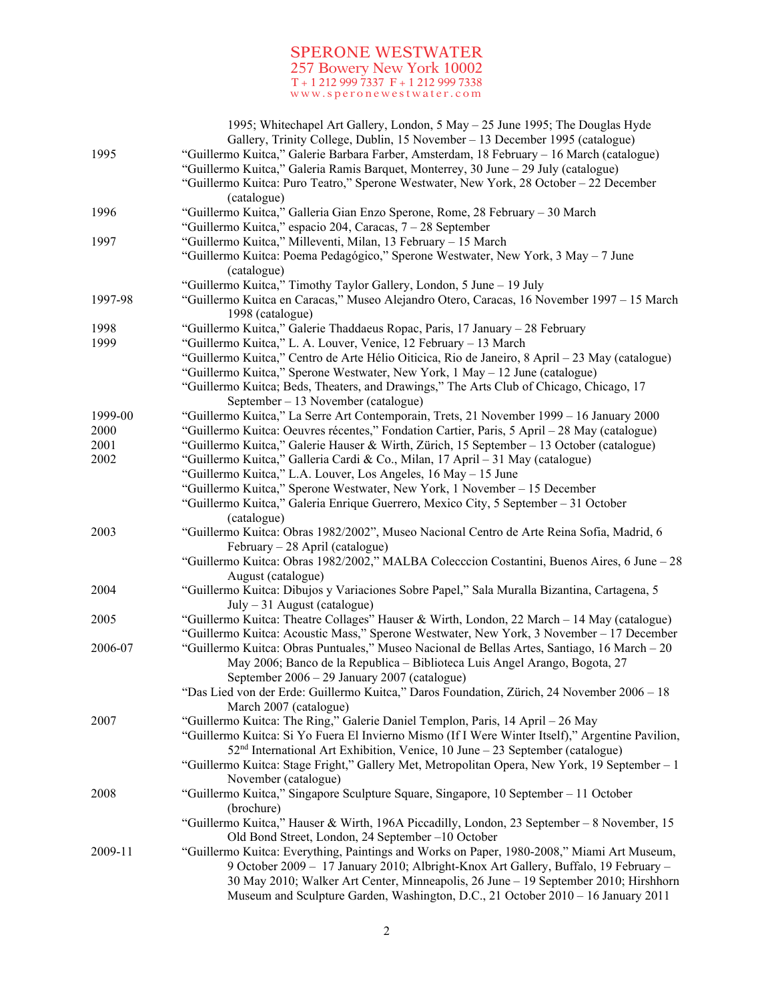|         | 1995; Whitechapel Art Gallery, London, 5 May - 25 June 1995; The Douglas Hyde<br>Gallery, Trinity College, Dublin, 15 November - 13 December 1995 (catalogue)                    |
|---------|----------------------------------------------------------------------------------------------------------------------------------------------------------------------------------|
| 1995    | "Guillermo Kuitca," Galerie Barbara Farber, Amsterdam, 18 February - 16 March (catalogue)<br>"Guillermo Kuitca," Galeria Ramis Barquet, Monterrey, 30 June - 29 July (catalogue) |
|         | "Guillermo Kuitca: Puro Teatro," Sperone Westwater, New York, 28 October - 22 December<br>(catalogue)                                                                            |
| 1996    | "Guillermo Kuitca," Galleria Gian Enzo Sperone, Rome, 28 February - 30 March                                                                                                     |
|         | "Guillermo Kuitca," espacio 204, Caracas, 7 - 28 September                                                                                                                       |
| 1997    | "Guillermo Kuitca," Milleventi, Milan, 13 February - 15 March                                                                                                                    |
|         | "Guillermo Kuitca: Poema Pedagógico," Sperone Westwater, New York, 3 May - 7 June<br>(catalogue)                                                                                 |
|         | "Guillermo Kuitca," Timothy Taylor Gallery, London, 5 June - 19 July                                                                                                             |
| 1997-98 | "Guillermo Kuitca en Caracas," Museo Alejandro Otero, Caracas, 16 November 1997 – 15 March<br>1998 (catalogue)                                                                   |
| 1998    | "Guillermo Kuitca," Galerie Thaddaeus Ropac, Paris, 17 January - 28 February                                                                                                     |
| 1999    | "Guillermo Kuitca," L. A. Louver, Venice, 12 February - 13 March                                                                                                                 |
|         | "Guillermo Kuitca," Centro de Arte Hélio Oiticica, Rio de Janeiro, 8 April – 23 May (catalogue)                                                                                  |
|         | "Guillermo Kuitca," Sperone Westwater, New York, 1 May - 12 June (catalogue)                                                                                                     |
|         | "Guillermo Kuitca; Beds, Theaters, and Drawings," The Arts Club of Chicago, Chicago, 17                                                                                          |
|         | September $-13$ November (catalogue)                                                                                                                                             |
| 1999-00 | "Guillermo Kuitca," La Serre Art Contemporain, Trets, 21 November 1999 - 16 January 2000                                                                                         |
| 2000    | "Guillermo Kuitca: Oeuvres récentes," Fondation Cartier, Paris, 5 April – 28 May (catalogue)                                                                                     |
| 2001    | "Guillermo Kuitca," Galerie Hauser & Wirth, Zürich, 15 September – 13 October (catalogue)                                                                                        |
| 2002    | "Guillermo Kuitca," Galleria Cardi & Co., Milan, 17 April - 31 May (catalogue)                                                                                                   |
|         | "Guillermo Kuitca," L.A. Louver, Los Angeles, 16 May - 15 June                                                                                                                   |
|         | "Guillermo Kuitca," Sperone Westwater, New York, 1 November - 15 December                                                                                                        |
|         | "Guillermo Kuitca," Galeria Enrique Guerrero, Mexico City, 5 September - 31 October<br>(catalogue)                                                                               |
| 2003    | "Guillermo Kuitca: Obras 1982/2002", Museo Nacional Centro de Arte Reina Sofia, Madrid, 6                                                                                        |
|         | February – 28 April (catalogue)                                                                                                                                                  |
|         | "Guillermo Kuitca: Obras 1982/2002," MALBA Colecccion Costantini, Buenos Aires, 6 June - 28                                                                                      |
|         | August (catalogue)                                                                                                                                                               |
| 2004    | "Guillermo Kuitca: Dibujos y Variaciones Sobre Papel," Sala Muralla Bizantina, Cartagena, 5                                                                                      |
|         | $July - 31 August (catalogue)$                                                                                                                                                   |
| 2005    | "Guillermo Kuitca: Theatre Collages" Hauser & Wirth, London, 22 March - 14 May (catalogue)                                                                                       |
|         | "Guillermo Kuitca: Acoustic Mass," Sperone Westwater, New York, 3 November - 17 December                                                                                         |
| 2006-07 | "Guillermo Kuitca: Obras Puntuales," Museo Nacional de Bellas Artes, Santiago, 16 March - 20                                                                                     |
|         | May 2006; Banco de la Republica - Biblioteca Luis Angel Arango, Bogota, 27                                                                                                       |
|         | September 2006 - 29 January 2007 (catalogue)                                                                                                                                     |
|         | "Das Lied von der Erde: Guillermo Kuitca," Daros Foundation, Zürich, 24 November 2006 - 18                                                                                       |
|         | March 2007 (catalogue)                                                                                                                                                           |
| 2007    | "Guillermo Kuitca: The Ring," Galerie Daniel Templon, Paris, 14 April - 26 May                                                                                                   |
|         | "Guillermo Kuitca: Si Yo Fuera El Invierno Mismo (If I Were Winter Itself)," Argentine Pavilion,                                                                                 |
|         | 52 <sup>nd</sup> International Art Exhibition, Venice, 10 June - 23 September (catalogue)                                                                                        |
|         | "Guillermo Kuitca: Stage Fright," Gallery Met, Metropolitan Opera, New York, 19 September - 1<br>November (catalogue)                                                            |
| 2008    | "Guillermo Kuitca," Singapore Sculpture Square, Singapore, 10 September - 11 October                                                                                             |
|         | (brochure)                                                                                                                                                                       |
|         | "Guillermo Kuitca," Hauser & Wirth, 196A Piccadilly, London, 23 September - 8 November, 15                                                                                       |
|         | Old Bond Street, London, 24 September -10 October                                                                                                                                |
| 2009-11 | "Guillermo Kuitca: Everything, Paintings and Works on Paper, 1980-2008," Miami Art Museum,                                                                                       |
|         | 9 October 2009 - 17 January 2010; Albright-Knox Art Gallery, Buffalo, 19 February -                                                                                              |
|         | 30 May 2010; Walker Art Center, Minneapolis, 26 June - 19 September 2010; Hirshhorn<br>Museum and Sculpture Garden, Washington, D.C., 21 October 2010 - 16 January 2011          |
|         |                                                                                                                                                                                  |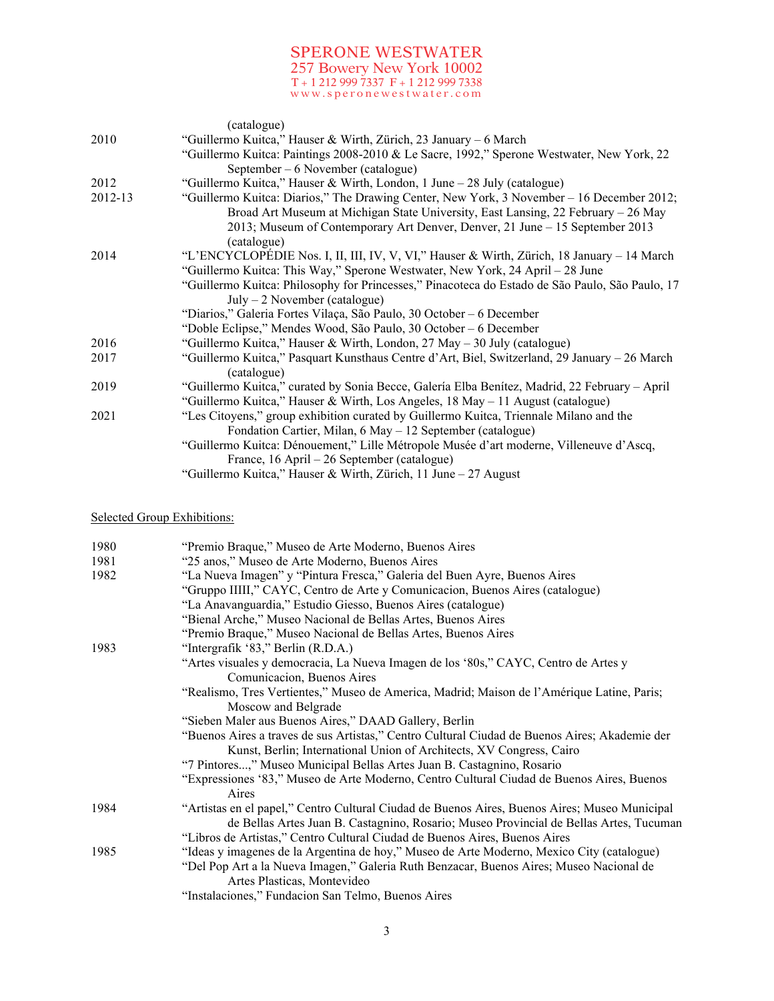|         | (catalogue)                                                                                                  |
|---------|--------------------------------------------------------------------------------------------------------------|
| 2010    | "Guillermo Kuitca," Hauser & Wirth, Zürich, 23 January – 6 March                                             |
|         | "Guillermo Kuitca: Paintings 2008-2010 & Le Sacre, 1992," Sperone Westwater, New York, 22                    |
|         | September $-6$ November (catalogue)                                                                          |
| 2012    | "Guillermo Kuitca," Hauser & Wirth, London, 1 June – 28 July (catalogue)                                     |
| 2012-13 | "Guillermo Kuitca: Diarios," The Drawing Center, New York, 3 November – 16 December 2012;                    |
|         | Broad Art Museum at Michigan State University, East Lansing, 22 February – 26 May                            |
|         | 2013; Museum of Contemporary Art Denver, Denver, 21 June – 15 September 2013<br>(catalogue)                  |
| 2014    | "L'ENCYCLOPÉDIE Nos. I, II, III, IV, V, VI," Hauser & Wirth, Zürich, 18 January – 14 March                   |
|         | "Guillermo Kuitca: This Way," Sperone Westwater, New York, 24 April – 28 June                                |
|         | "Guillermo Kuitca: Philosophy for Princesses," Pinacoteca do Estado de São Paulo, São Paulo, 17              |
|         | $July - 2 November (catalogue)$                                                                              |
|         | "Diarios," Galeria Fortes Vilaça, São Paulo, 30 October – 6 December                                         |
|         | "Doble Eclipse," Mendes Wood, São Paulo, 30 October – 6 December                                             |
| 2016    | "Guillermo Kuitca," Hauser & Wirth, London, 27 May – 30 July (catalogue)                                     |
| 2017    | "Guillermo Kuitca," Pasquart Kunsthaus Centre d'Art, Biel, Switzerland, 29 January – 26 March<br>(catalogue) |
| 2019    | "Guillermo Kuitca," curated by Sonia Becce, Galería Elba Benítez, Madrid, 22 February – April                |
|         | "Guillermo Kuitca," Hauser & Wirth, Los Angeles, 18 May – 11 August (catalogue)                              |
| 2021    | "Les Citoyens," group exhibition curated by Guillermo Kuitca, Triennale Milano and the                       |
|         | Fondation Cartier, Milan, 6 May - 12 September (catalogue)                                                   |
|         | "Guillermo Kuitca: Dénouement," Lille Métropole Musée d'art moderne, Villeneuve d'Ascq,                      |
|         | France, 16 April – 26 September (catalogue)                                                                  |
|         | "Guillermo Kuitca," Hauser & Wirth, Zürich, 11 June - 27 August                                              |

# Selected Group Exhibitions:

| 1980 | "Premio Braque," Museo de Arte Moderno, Buenos Aires                                                                                                                                    |
|------|-----------------------------------------------------------------------------------------------------------------------------------------------------------------------------------------|
| 1981 | "25 anos," Museo de Arte Moderno, Buenos Aires                                                                                                                                          |
| 1982 | "La Nueva Imagen" y "Pintura Fresca," Galeria del Buen Ayre, Buenos Aires                                                                                                               |
|      | "Gruppo IIIII," CAYC, Centro de Arte y Comunicacion, Buenos Aires (catalogue)                                                                                                           |
|      | "La Anavanguardia," Estudio Giesso, Buenos Aires (catalogue)                                                                                                                            |
|      | "Bienal Arche," Museo Nacional de Bellas Artes, Buenos Aires                                                                                                                            |
|      | "Premio Braque," Museo Nacional de Bellas Artes, Buenos Aires                                                                                                                           |
| 1983 | "Intergrafik '83," Berlin (R.D.A.)                                                                                                                                                      |
|      | "Artes visuales y democracia, La Nueva Imagen de los '80s," CAYC, Centro de Artes y                                                                                                     |
|      | Comunicacion, Buenos Aires                                                                                                                                                              |
|      | "Realismo, Tres Vertientes," Museo de America, Madrid; Maison de l'Amérique Latine, Paris;                                                                                              |
|      | Moscow and Belgrade                                                                                                                                                                     |
|      | "Sieben Maler aus Buenos Aires," DAAD Gallery, Berlin                                                                                                                                   |
|      | "Buenos Aires a traves de sus Artistas," Centro Cultural Ciudad de Buenos Aires; Akademie der                                                                                           |
|      | Kunst, Berlin; International Union of Architects, XV Congress, Cairo                                                                                                                    |
|      | "7 Pintores," Museo Municipal Bellas Artes Juan B. Castagnino, Rosario                                                                                                                  |
|      | "Expressiones '83," Museo de Arte Moderno, Centro Cultural Ciudad de Buenos Aires, Buenos<br>Aires                                                                                      |
| 1984 | "Artistas en el papel," Centro Cultural Ciudad de Buenos Aires, Buenos Aires; Museo Municipal<br>de Bellas Artes Juan B. Castagnino, Rosario; Museo Provincial de Bellas Artes, Tucuman |
|      | "Libros de Artistas," Centro Cultural Ciudad de Buenos Aires, Buenos Aires                                                                                                              |
| 1985 | "Ideas y imagenes de la Argentina de hoy," Museo de Arte Moderno, Mexico City (catalogue)                                                                                               |
|      | "Del Pop Art a la Nueva Imagen," Galeria Ruth Benzacar, Buenos Aires; Museo Nacional de<br>Artes Plasticas, Montevideo                                                                  |
|      | "Instalaciones," Fundacion San Telmo, Buenos Aires                                                                                                                                      |
|      |                                                                                                                                                                                         |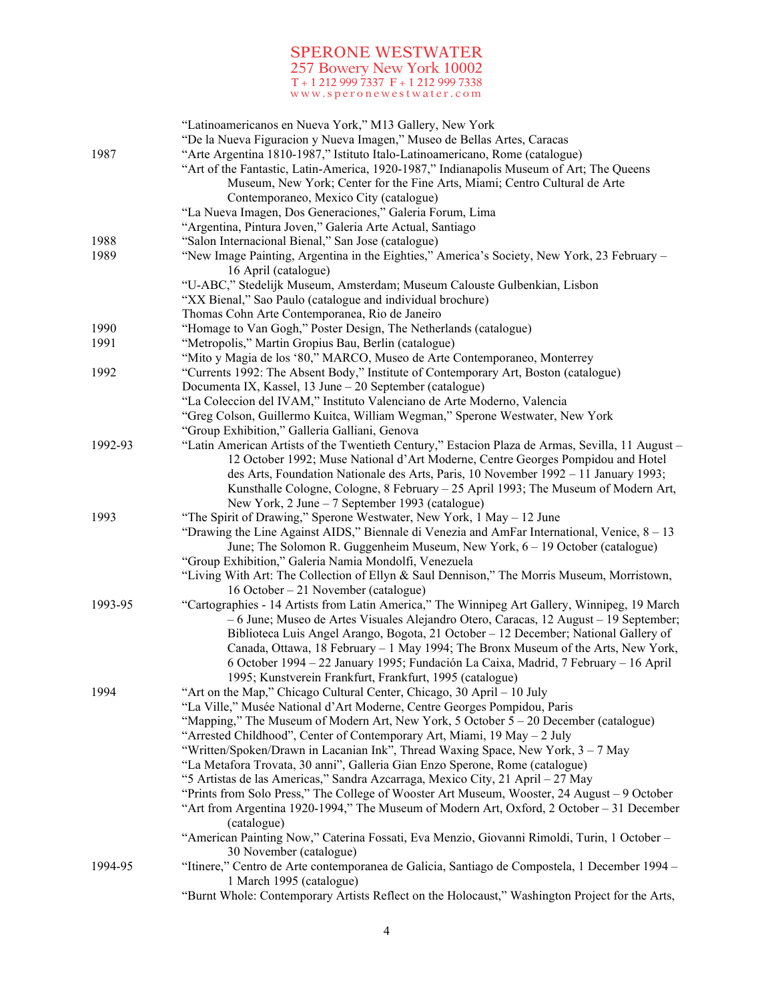| 1987    | "Latinoamericanos en Nueva York," M13 Gallery, New York<br>"De la Nueva Figuracion y Nueva Imagen," Museo de Bellas Artes, Caracas<br>"Arte Argentina 1810-1987," Istituto Italo-Latinoamericano, Rome (catalogue)<br>"Art of the Fantastic, Latin-America, 1920-1987," Indianapolis Museum of Art; The Queens<br>Museum, New York; Center for the Fine Arts, Miami; Centro Cultural de Arte<br>Contemporaneo, Mexico City (catalogue)<br>"La Nueva Imagen, Dos Generaciones," Galeria Forum, Lima                      |
|---------|-------------------------------------------------------------------------------------------------------------------------------------------------------------------------------------------------------------------------------------------------------------------------------------------------------------------------------------------------------------------------------------------------------------------------------------------------------------------------------------------------------------------------|
|         | "Argentina, Pintura Joven," Galeria Arte Actual, Santiago                                                                                                                                                                                                                                                                                                                                                                                                                                                               |
| 1988    | "Salon Internacional Bienal," San Jose (catalogue)                                                                                                                                                                                                                                                                                                                                                                                                                                                                      |
| 1989    | "New Image Painting, Argentina in the Eighties," America's Society, New York, 23 February -<br>16 April (catalogue)<br>"U-ABC," Stedelijk Museum, Amsterdam; Museum Calouste Gulbenkian, Lisbon<br>"XX Bienal," Sao Paulo (catalogue and individual brochure)                                                                                                                                                                                                                                                           |
|         | Thomas Cohn Arte Contemporanea, Rio de Janeiro                                                                                                                                                                                                                                                                                                                                                                                                                                                                          |
| 1990    | "Homage to Van Gogh," Poster Design, The Netherlands (catalogue)                                                                                                                                                                                                                                                                                                                                                                                                                                                        |
| 1991    | "Metropolis," Martin Gropius Bau, Berlin (catalogue)                                                                                                                                                                                                                                                                                                                                                                                                                                                                    |
|         | "Mito y Magia de los '80," MARCO, Museo de Arte Contemporaneo, Monterrey                                                                                                                                                                                                                                                                                                                                                                                                                                                |
| 1992    | "Currents 1992: The Absent Body," Institute of Contemporary Art, Boston (catalogue)                                                                                                                                                                                                                                                                                                                                                                                                                                     |
|         | Documenta IX, Kassel, 13 June – 20 September (catalogue)                                                                                                                                                                                                                                                                                                                                                                                                                                                                |
|         | "La Coleccion del IVAM," Instituto Valenciano de Arte Moderno, Valencia                                                                                                                                                                                                                                                                                                                                                                                                                                                 |
|         | "Greg Colson, Guillermo Kuitca, William Wegman," Sperone Westwater, New York                                                                                                                                                                                                                                                                                                                                                                                                                                            |
|         | "Group Exhibition," Galleria Galliani, Genova                                                                                                                                                                                                                                                                                                                                                                                                                                                                           |
| 1992-93 | "Latin American Artists of the Twentieth Century," Estacion Plaza de Armas, Sevilla, 11 August -<br>12 October 1992; Muse National d'Art Moderne, Centre Georges Pompidou and Hotel                                                                                                                                                                                                                                                                                                                                     |
|         | des Arts, Foundation Nationale des Arts, Paris, 10 November 1992 – 11 January 1993;                                                                                                                                                                                                                                                                                                                                                                                                                                     |
|         | Kunsthalle Cologne, Cologne, 8 February – 25 April 1993; The Museum of Modern Art,<br>New York, 2 June – 7 September 1993 (catalogue)                                                                                                                                                                                                                                                                                                                                                                                   |
| 1993    | "The Spirit of Drawing," Sperone Westwater, New York, 1 May - 12 June<br>"Drawing the Line Against AIDS," Biennale di Venezia and AmFar International, Venice, $8 - 13$<br>June; The Solomon R. Guggenheim Museum, New York, $6 - 19$ October (catalogue)<br>"Group Exhibition," Galeria Namia Mondolfi, Venezuela                                                                                                                                                                                                      |
|         | "Living With Art: The Collection of Ellyn & Saul Dennison," The Morris Museum, Morristown,<br>16 October – 21 November (catalogue)                                                                                                                                                                                                                                                                                                                                                                                      |
| 1993-95 | "Cartographies - 14 Artists from Latin America," The Winnipeg Art Gallery, Winnipeg, 19 March<br>$-6$ June; Museo de Artes Visuales Alejandro Otero, Caracas, 12 August $-19$ September;<br>Biblioteca Luis Angel Arango, Bogota, 21 October – 12 December; National Gallery of<br>Canada, Ottawa, 18 February - 1 May 1994; The Bronx Museum of the Arts, New York,<br>6 October 1994 - 22 January 1995; Fundación La Caixa, Madrid, 7 February - 16 April<br>1995; Kunstverein Frankfurt, Frankfurt, 1995 (catalogue) |
| 1994    | "Art on the Map," Chicago Cultural Center, Chicago, 30 April - 10 July                                                                                                                                                                                                                                                                                                                                                                                                                                                  |
|         | "La Ville," Musée National d'Art Moderne, Centre Georges Pompidou, Paris                                                                                                                                                                                                                                                                                                                                                                                                                                                |
|         | "Mapping," The Museum of Modern Art, New York, 5 October $5 - 20$ December (catalogue)                                                                                                                                                                                                                                                                                                                                                                                                                                  |
|         | "Arrested Childhood", Center of Contemporary Art, Miami, 19 May - 2 July                                                                                                                                                                                                                                                                                                                                                                                                                                                |
|         | "Written/Spoken/Drawn in Lacanian Ink", Thread Waxing Space, New York, 3 - 7 May                                                                                                                                                                                                                                                                                                                                                                                                                                        |
|         | "La Metafora Trovata, 30 anni", Galleria Gian Enzo Sperone, Rome (catalogue)                                                                                                                                                                                                                                                                                                                                                                                                                                            |
|         | "5 Artistas de las Americas," Sandra Azcarraga, Mexico City, 21 April - 27 May                                                                                                                                                                                                                                                                                                                                                                                                                                          |
|         | "Prints from Solo Press," The College of Wooster Art Museum, Wooster, 24 August – 9 October<br>"Art from Argentina 1920-1994," The Museum of Modern Art, Oxford, 2 October - 31 December                                                                                                                                                                                                                                                                                                                                |
|         | (catalogue)                                                                                                                                                                                                                                                                                                                                                                                                                                                                                                             |
|         | "American Painting Now," Caterina Fossati, Eva Menzio, Giovanni Rimoldi, Turin, 1 October -<br>30 November (catalogue)                                                                                                                                                                                                                                                                                                                                                                                                  |
| 1994-95 | "Itinere," Centro de Arte contemporanea de Galicia, Santiago de Compostela, 1 December 1994 -<br>1 March 1995 (catalogue)                                                                                                                                                                                                                                                                                                                                                                                               |
|         | "Burnt Whole: Contemporary Artists Reflect on the Holocaust," Washington Project for the Arts,                                                                                                                                                                                                                                                                                                                                                                                                                          |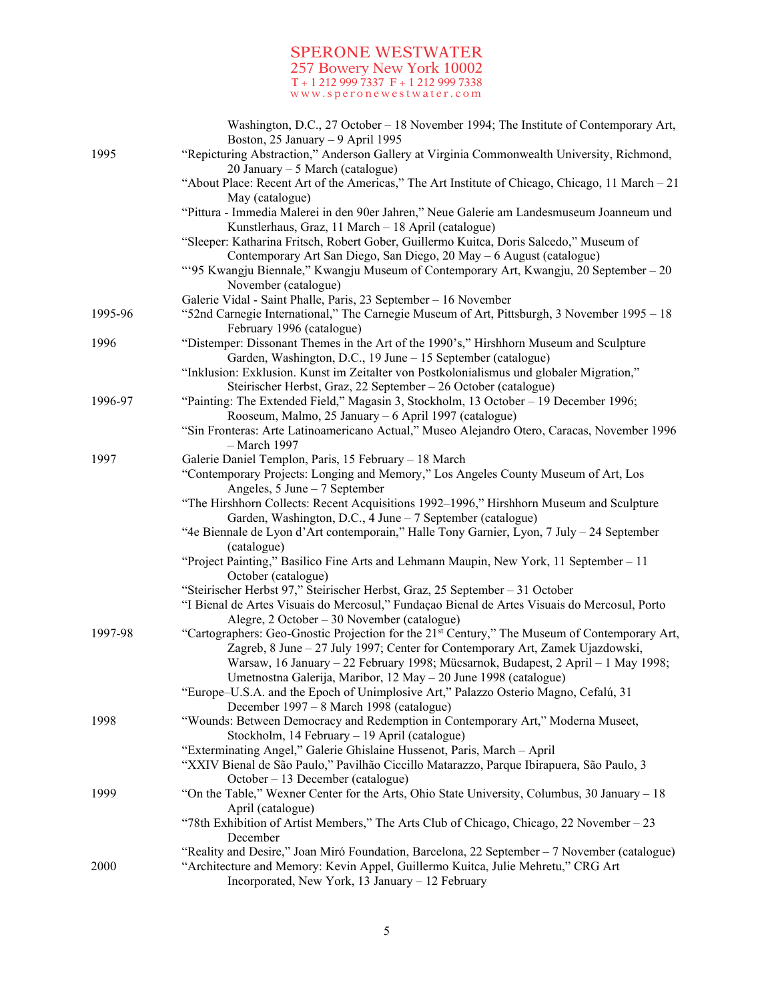|         | Washington, D.C., 27 October – 18 November 1994; The Institute of Contemporary Art,<br>Boston, 25 January - 9 April 1995                                                               |
|---------|----------------------------------------------------------------------------------------------------------------------------------------------------------------------------------------|
| 1995    | "Repicturing Abstraction," Anderson Gallery at Virginia Commonwealth University, Richmond,<br>20 January – 5 March (catalogue)                                                         |
|         | "About Place: Recent Art of the Americas," The Art Institute of Chicago, Chicago, 11 March $-21$<br>May (catalogue)                                                                    |
|         | "Pittura - Immedia Malerei in den 90er Jahren," Neue Galerie am Landesmuseum Joanneum und<br>Kunstlerhaus, Graz, 11 March - 18 April (catalogue)                                       |
|         | "Sleeper: Katharina Fritsch, Robert Gober, Guillermo Kuitca, Doris Salcedo," Museum of                                                                                                 |
|         | Contemporary Art San Diego, San Diego, 20 May - 6 August (catalogue)<br>"'95 Kwangju Biennale," Kwangju Museum of Contemporary Art, Kwangju, 20 September – 20<br>November (catalogue) |
|         | Galerie Vidal - Saint Phalle, Paris, 23 September - 16 November                                                                                                                        |
| 1995-96 | "S2nd Carnegie International," The Carnegie Museum of Art, Pittsburgh, 3 November 1995 – 18<br>February 1996 (catalogue)                                                               |
| 1996    | "Distemper: Dissonant Themes in the Art of the 1990's," Hirshhorn Museum and Sculpture<br>Garden, Washington, D.C., 19 June - 15 September (catalogue)                                 |
|         | "Inklusion: Exklusion. Kunst im Zeitalter von Postkolonialismus und globaler Migration,"                                                                                               |
| 1996-97 | Steirischer Herbst, Graz, 22 September - 26 October (catalogue)<br>"Painting: The Extended Field," Magasin 3, Stockholm, 13 October - 19 December 1996;                                |
|         | Rooseum, Malmo, 25 January – 6 April 1997 (catalogue)                                                                                                                                  |
|         | "Sin Fronteras: Arte Latinoamericano Actual," Museo Alejandro Otero, Caracas, November 1996                                                                                            |
|         | - March 1997                                                                                                                                                                           |
| 1997    | Galerie Daniel Templon, Paris, 15 February - 18 March                                                                                                                                  |
|         | "Contemporary Projects: Longing and Memory," Los Angeles County Museum of Art, Los                                                                                                     |
|         | Angeles, $5$ June $-7$ September                                                                                                                                                       |
|         | "The Hirshhorn Collects: Recent Acquisitions 1992–1996," Hirshhorn Museum and Sculpture                                                                                                |
|         | Garden, Washington, D.C., 4 June - 7 September (catalogue)                                                                                                                             |
|         | "4e Biennale de Lyon d'Art contemporain," Halle Tony Garnier, Lyon, 7 July - 24 September<br>(catalogue)                                                                               |
|         | "Project Painting," Basilico Fine Arts and Lehmann Maupin, New York, 11 September - 11                                                                                                 |
|         | October (catalogue)                                                                                                                                                                    |
|         | "Steirischer Herbst 97," Steirischer Herbst, Graz, 25 September - 31 October                                                                                                           |
|         | "I Bienal de Artes Visuais do Mercosul," Fundação Bienal de Artes Visuais do Mercosul, Porto                                                                                           |
|         | Alegre, $2$ October – $30$ November (catalogue)                                                                                                                                        |
| 1997-98 | "Cartographers: Geo-Gnostic Projection for the 21 <sup>st</sup> Century," The Museum of Contemporary Art,                                                                              |
|         | Zagreb, 8 June - 27 July 1997; Center for Contemporary Art, Zamek Ujazdowski,                                                                                                          |
|         | Warsaw, 16 January - 22 February 1998; Mücsarnok, Budapest, 2 April - 1 May 1998;                                                                                                      |
|         | Umetnostna Galerija, Maribor, 12 May - 20 June 1998 (catalogue)                                                                                                                        |
|         | "Europe-U.S.A. and the Epoch of Unimplosive Art," Palazzo Osterio Magno, Cefalú, 31                                                                                                    |
| 1998    | December 1997 – 8 March 1998 (catalogue)<br>"Wounds: Between Democracy and Redemption in Contemporary Art," Moderna Museet,                                                            |
|         | Stockholm, 14 February - 19 April (catalogue)                                                                                                                                          |
|         | "Exterminating Angel," Galerie Ghislaine Hussenot, Paris, March - April                                                                                                                |
|         | "XXIV Bienal de São Paulo," Pavilhão Ciccillo Matarazzo, Parque Ibirapuera, São Paulo, 3                                                                                               |
|         | October - 13 December (catalogue)                                                                                                                                                      |
| 1999    | "On the Table," Wexner Center for the Arts, Ohio State University, Columbus, 30 January – 18                                                                                           |
|         | April (catalogue)                                                                                                                                                                      |
|         | "78th Exhibition of Artist Members," The Arts Club of Chicago, Chicago, 22 November $-23$<br>December                                                                                  |
|         | "Reality and Desire," Joan Miró Foundation, Barcelona, 22 September - 7 November (catalogue)                                                                                           |
| 2000    | "Architecture and Memory: Kevin Appel, Guillermo Kuitca, Julie Mehretu," CRG Art<br>Incorporated, New York, 13 January - 12 February                                                   |
|         |                                                                                                                                                                                        |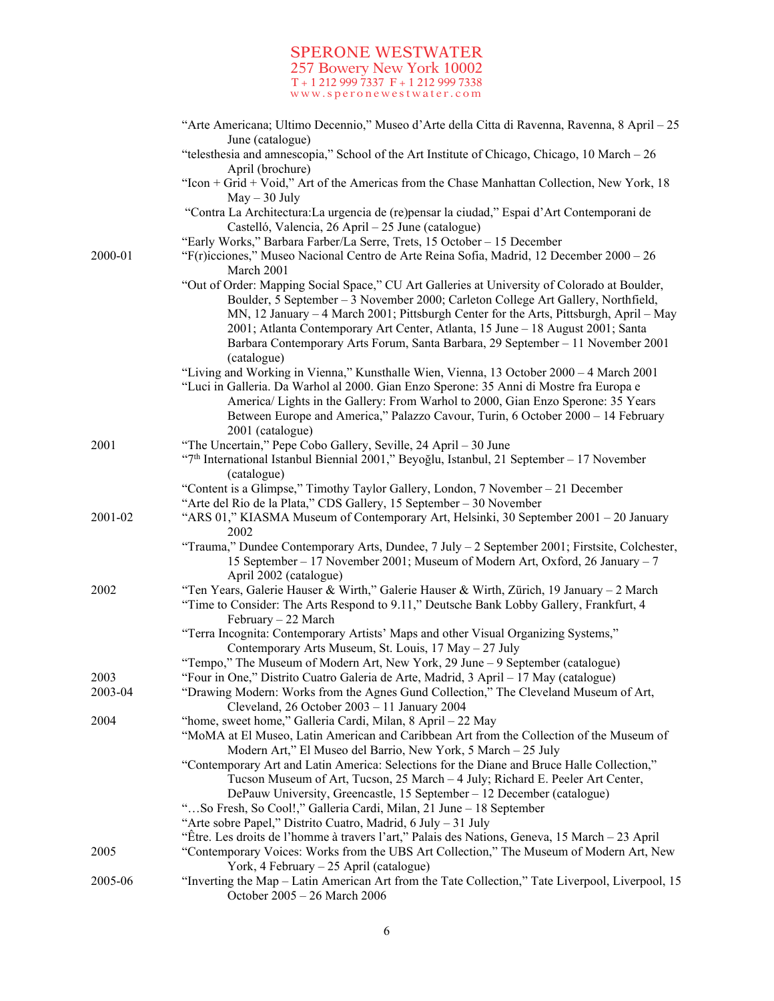|         | "Arte Americana; Ultimo Decennio," Museo d'Arte della Citta di Ravenna, Ravenna, 8 April – 25                                                                                                                                                                |
|---------|--------------------------------------------------------------------------------------------------------------------------------------------------------------------------------------------------------------------------------------------------------------|
|         | June (catalogue)<br>"telesthesia and amnescopia," School of the Art Institute of Chicago, Chicago, $10$ March $-26$                                                                                                                                          |
|         | April (brochure)                                                                                                                                                                                                                                             |
|         | "Icon + Grid + Void," Art of the Americas from the Chase Manhattan Collection, New York, 18<br>$May - 30$ July                                                                                                                                               |
|         | "Contra La Architectura:La urgencia de (re)pensar la ciudad," Espai d'Art Contemporani de<br>Castelló, Valencia, 26 April – 25 June (catalogue)                                                                                                              |
|         | "Early Works," Barbara Farber/La Serre, Trets, 15 October - 15 December                                                                                                                                                                                      |
| 2000-01 | "F(r)icciones," Museo Nacional Centro de Arte Reina Sofia, Madrid, 12 December $2000 - 26$<br>March 2001                                                                                                                                                     |
|         | "Out of Order: Mapping Social Space," CU Art Galleries at University of Colorado at Boulder,                                                                                                                                                                 |
|         | Boulder, 5 September – 3 November 2000; Carleton College Art Gallery, Northfield,                                                                                                                                                                            |
|         | MN, 12 January – 4 March 2001; Pittsburgh Center for the Arts, Pittsburgh, April – May<br>2001; Atlanta Contemporary Art Center, Atlanta, 15 June - 18 August 2001; Santa<br>Barbara Contemporary Arts Forum, Santa Barbara, 29 September - 11 November 2001 |
|         | (catalogue)                                                                                                                                                                                                                                                  |
|         | "Living and Working in Vienna," Kunsthalle Wien, Vienna, 13 October 2000 - 4 March 2001                                                                                                                                                                      |
|         | "Luci in Galleria. Da Warhol al 2000. Gian Enzo Sperone: 35 Anni di Mostre fra Europa e                                                                                                                                                                      |
|         | America/ Lights in the Gallery: From Warhol to 2000, Gian Enzo Sperone: 35 Years                                                                                                                                                                             |
|         | Between Europe and America," Palazzo Cavour, Turin, 6 October 2000 - 14 February                                                                                                                                                                             |
| 2001    | 2001 (catalogue)<br>"The Uncertain," Pepe Cobo Gallery, Seville, 24 April - 30 June                                                                                                                                                                          |
|         | "7 <sup>th</sup> International Istanbul Biennial 2001," Beyoğlu, Istanbul, 21 September – 17 November                                                                                                                                                        |
|         | (catalogue)                                                                                                                                                                                                                                                  |
|         | "Content is a Glimpse," Timothy Taylor Gallery, London, 7 November - 21 December                                                                                                                                                                             |
|         | "Arte del Rio de la Plata," CDS Gallery, 15 September - 30 November                                                                                                                                                                                          |
| 2001-02 | "ARS 01," KIASMA Museum of Contemporary Art, Helsinki, 30 September 2001 - 20 January<br>2002                                                                                                                                                                |
|         | "Trauma," Dundee Contemporary Arts, Dundee, $7$ July $-2$ September 2001; Firstsite, Colchester,<br>15 September – 17 November 2001; Museum of Modern Art, Oxford, 26 January – 7<br>April 2002 (catalogue)                                                  |
| 2002    | "Ten Years, Galerie Hauser & Wirth," Galerie Hauser & Wirth, Zürich, 19 January - 2 March                                                                                                                                                                    |
|         | "Time to Consider: The Arts Respond to 9.11," Deutsche Bank Lobby Gallery, Frankfurt, 4<br>February - 22 March                                                                                                                                               |
|         | "Terra Incognita: Contemporary Artists' Maps and other Visual Organizing Systems,"                                                                                                                                                                           |
|         | Contemporary Arts Museum, St. Louis, 17 May - 27 July                                                                                                                                                                                                        |
|         | "Tempo," The Museum of Modern Art, New York, 29 June – 9 September (catalogue)                                                                                                                                                                               |
| 2003    | "Four in One," Distrito Cuatro Galeria de Arte, Madrid, 3 April - 17 May (catalogue)                                                                                                                                                                         |
| 2003-04 | "Drawing Modern: Works from the Agnes Gund Collection," The Cleveland Museum of Art,<br>Cleveland, 26 October 2003 - 11 January 2004                                                                                                                         |
| 2004    | "home, sweet home," Galleria Cardi, Milan, 8 April – 22 May                                                                                                                                                                                                  |
|         | "MoMA at El Museo, Latin American and Caribbean Art from the Collection of the Museum of                                                                                                                                                                     |
|         | Modern Art," El Museo del Barrio, New York, 5 March - 25 July<br>"Contemporary Art and Latin America: Selections for the Diane and Bruce Halle Collection,"                                                                                                  |
|         | Tucson Museum of Art, Tucson, 25 March - 4 July; Richard E. Peeler Art Center,                                                                                                                                                                               |
|         | DePauw University, Greencastle, 15 September - 12 December (catalogue)                                                                                                                                                                                       |
|         | "So Fresh, So Cool!," Galleria Cardi, Milan, 21 June – 18 September                                                                                                                                                                                          |
|         | "Arte sobre Papel," Distrito Cuatro, Madrid, 6 July $-31$ July                                                                                                                                                                                               |
|         | "Être. Les droits de l'homme à travers l'art," Palais des Nations, Geneva, 15 March – 23 April                                                                                                                                                               |
| 2005    | "Contemporary Voices: Works from the UBS Art Collection," The Museum of Modern Art, New<br>York, 4 February - 25 April (catalogue)                                                                                                                           |
| 2005-06 | "Inverting the Map - Latin American Art from the Tate Collection," Tate Liverpool, Liverpool, 15<br>October 2005 - 26 March 2006                                                                                                                             |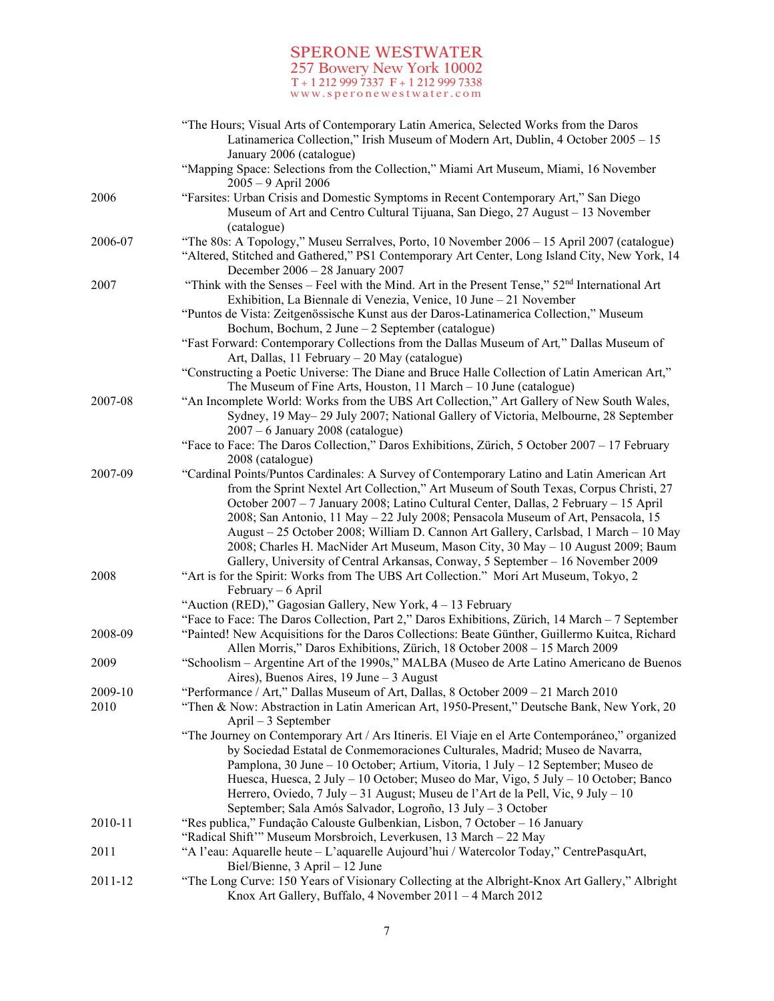|         | "The Hours; Visual Arts of Contemporary Latin America, Selected Works from the Daros<br>Latinamerica Collection," Irish Museum of Modern Art, Dublin, 4 October 2005 - 15                                                                                                                                                                                                                                                                                                                                                                                                                                                    |
|---------|------------------------------------------------------------------------------------------------------------------------------------------------------------------------------------------------------------------------------------------------------------------------------------------------------------------------------------------------------------------------------------------------------------------------------------------------------------------------------------------------------------------------------------------------------------------------------------------------------------------------------|
|         | January 2006 (catalogue)<br>"Mapping Space: Selections from the Collection," Miami Art Museum, Miami, 16 November<br>2005 - 9 April 2006                                                                                                                                                                                                                                                                                                                                                                                                                                                                                     |
| 2006    | "Farsites: Urban Crisis and Domestic Symptoms in Recent Contemporary Art," San Diego<br>Museum of Art and Centro Cultural Tijuana, San Diego, 27 August - 13 November                                                                                                                                                                                                                                                                                                                                                                                                                                                        |
| 2006-07 | (catalogue)<br>"The 80s: A Topology," Museu Serralves, Porto, 10 November 2006 – 15 April 2007 (catalogue)<br>"Altered, Stitched and Gathered," PS1 Contemporary Art Center, Long Island City, New York, 14                                                                                                                                                                                                                                                                                                                                                                                                                  |
| 2007    | December $2006 - 28$ January 2007<br>"Think with the Senses – Feel with the Mind. Art in the Present Tense," 52 <sup>nd</sup> International Art<br>Exhibition, La Biennale di Venezia, Venice, 10 June - 21 November                                                                                                                                                                                                                                                                                                                                                                                                         |
|         | "Puntos de Vista: Zeitgenössische Kunst aus der Daros-Latinamerica Collection," Museum<br>Bochum, Bochum, 2 June - 2 September (catalogue)                                                                                                                                                                                                                                                                                                                                                                                                                                                                                   |
|         | "Fast Forward: Contemporary Collections from the Dallas Museum of Art," Dallas Museum of<br>Art, Dallas, 11 February - 20 May (catalogue)                                                                                                                                                                                                                                                                                                                                                                                                                                                                                    |
|         | "Constructing a Poetic Universe: The Diane and Bruce Halle Collection of Latin American Art,"<br>The Museum of Fine Arts, Houston, $11$ March $-10$ June (catalogue)                                                                                                                                                                                                                                                                                                                                                                                                                                                         |
| 2007-08 | "An Incomplete World: Works from the UBS Art Collection," Art Gallery of New South Wales,<br>Sydney, 19 May-29 July 2007; National Gallery of Victoria, Melbourne, 28 September<br>$2007 - 6$ January 2008 (catalogue)                                                                                                                                                                                                                                                                                                                                                                                                       |
|         | "Face to Face: The Daros Collection," Daros Exhibitions, Zürich, 5 October 2007 - 17 February<br>2008 (catalogue)                                                                                                                                                                                                                                                                                                                                                                                                                                                                                                            |
| 2007-09 | "Cardinal Points/Puntos Cardinales: A Survey of Contemporary Latino and Latin American Art<br>from the Sprint Nextel Art Collection," Art Museum of South Texas, Corpus Christi, 27<br>October 2007 - 7 January 2008; Latino Cultural Center, Dallas, 2 February - 15 April<br>2008; San Antonio, 11 May - 22 July 2008; Pensacola Museum of Art, Pensacola, 15<br>August - 25 October 2008; William D. Cannon Art Gallery, Carlsbad, 1 March - 10 May<br>2008; Charles H. MacNider Art Museum, Mason City, 30 May - 10 August 2009; Baum<br>Gallery, University of Central Arkansas, Conway, 5 September - 16 November 2009 |
| 2008    | "Art is for the Spirit: Works from The UBS Art Collection." Mori Art Museum, Tokyo, 2<br>February – 6 April<br>"Auction (RED)," Gagosian Gallery, New York, 4 - 13 February<br>"Face to Face: The Daros Collection, Part 2," Daros Exhibitions, Zürich, 14 March - 7 September                                                                                                                                                                                                                                                                                                                                               |
| 2008-09 | "Painted! New Acquisitions for the Daros Collections: Beate Günther, Guillermo Kuitca, Richard<br>Allen Morris," Daros Exhibitions, Zürich, 18 October 2008 - 15 March 2009                                                                                                                                                                                                                                                                                                                                                                                                                                                  |
| 2009    | "Schoolism – Argentine Art of the 1990s," MALBA (Museo de Arte Latino Americano de Buenos<br>Aires), Buenos Aires, 19 June – 3 August                                                                                                                                                                                                                                                                                                                                                                                                                                                                                        |
| 2009-10 | "Performance / Art," Dallas Museum of Art, Dallas, 8 October 2009 - 21 March 2010                                                                                                                                                                                                                                                                                                                                                                                                                                                                                                                                            |
| 2010    | "Then & Now: Abstraction in Latin American Art, 1950-Present," Deutsche Bank, New York, 20<br>$April - 3 September$                                                                                                                                                                                                                                                                                                                                                                                                                                                                                                          |
|         | "The Journey on Contemporary Art / Ars Itineris. El Viaje en el Arte Contemporáneo," organized<br>by Sociedad Estatal de Conmemoraciones Culturales, Madrid; Museo de Navarra,<br>Pamplona, 30 June – 10 October; Artium, Vitoria, 1 July – 12 September; Museo de<br>Huesca, Huesca, 2 July – 10 October; Museo do Mar, Vigo, 5 July – 10 October; Banco<br>Herrero, Oviedo, 7 July - 31 August; Museu de l'Art de la Pell, Vic, 9 July - 10<br>September; Sala Amós Salvador, Logroño, 13 July - 3 October                                                                                                                 |
| 2010-11 | "Res publica," Fundação Calouste Gulbenkian, Lisbon, 7 October – 16 January<br>"Radical Shift" Museum Morsbroich, Leverkusen, 13 March - 22 May                                                                                                                                                                                                                                                                                                                                                                                                                                                                              |
| 2011    | "A l'eau: Aquarelle heute – L'aquarelle Aujourd'hui / Watercolor Today," CentrePasquArt,<br>Biel/Bienne, 3 April - 12 June                                                                                                                                                                                                                                                                                                                                                                                                                                                                                                   |
| 2011-12 | "The Long Curve: 150 Years of Visionary Collecting at the Albright-Knox Art Gallery," Albright<br>Knox Art Gallery, Buffalo, 4 November 2011 - 4 March 2012                                                                                                                                                                                                                                                                                                                                                                                                                                                                  |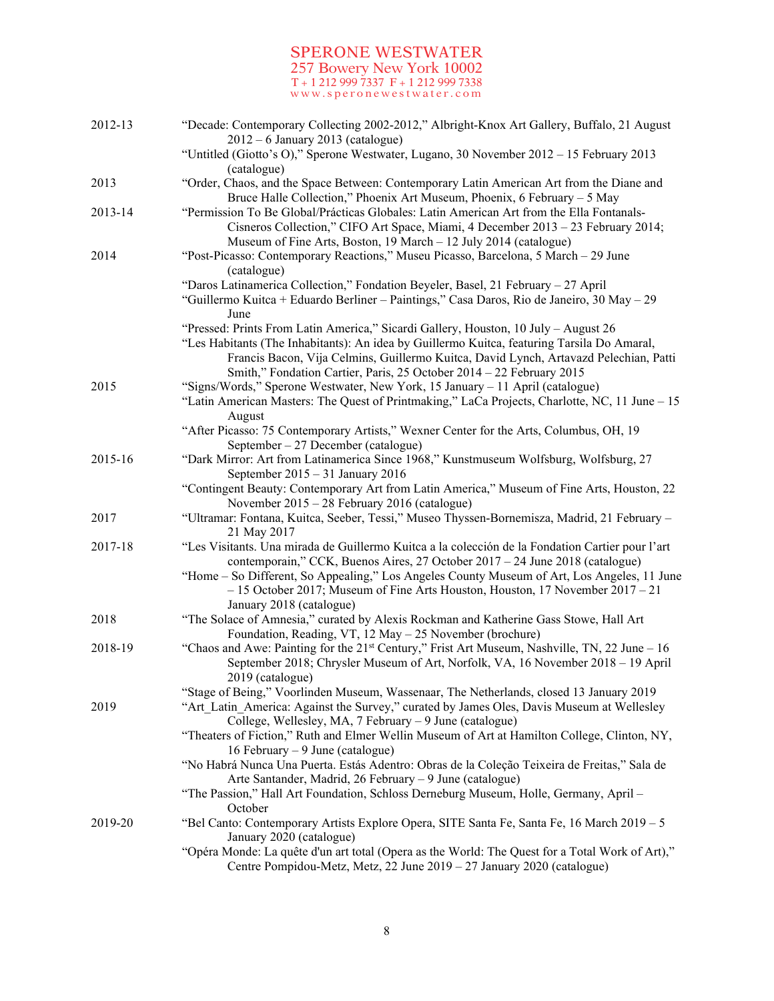| 2012-13 | "Decade: Contemporary Collecting 2002-2012," Albright-Knox Art Gallery, Buffalo, 21 August<br>$2012 - 6$ January 2013 (catalogue)                                                                                                                                                                                                                   |
|---------|-----------------------------------------------------------------------------------------------------------------------------------------------------------------------------------------------------------------------------------------------------------------------------------------------------------------------------------------------------|
|         | "Untitled (Giotto's O)," Sperone Westwater, Lugano, 30 November $2012 - 15$ February 2013<br>(catalogue)                                                                                                                                                                                                                                            |
| 2013    | "Order, Chaos, and the Space Between: Contemporary Latin American Art from the Diane and<br>Bruce Halle Collection," Phoenix Art Museum, Phoenix, 6 February - 5 May                                                                                                                                                                                |
| 2013-14 | "Permission To Be Global/Prácticas Globales: Latin American Art from the Ella Fontanals-<br>Cisneros Collection," CIFO Art Space, Miami, 4 December 2013 - 23 February 2014;<br>Museum of Fine Arts, Boston, 19 March - 12 July 2014 (catalogue)                                                                                                    |
| 2014    | "Post-Picasso: Contemporary Reactions," Museu Picasso, Barcelona, 5 March – 29 June<br>(catalogue)                                                                                                                                                                                                                                                  |
|         | "Daros Latinamerica Collection," Fondation Beyeler, Basel, 21 February - 27 April<br>"Guillermo Kuitca + Eduardo Berliner – Paintings," Casa Daros, Rio de Janeiro, 30 May – 29<br>June                                                                                                                                                             |
|         | "Pressed: Prints From Latin America," Sicardi Gallery, Houston, 10 July - August 26<br>"Les Habitants (The Inhabitants): An idea by Guillermo Kuitca, featuring Tarsila Do Amaral,<br>Francis Bacon, Vija Celmins, Guillermo Kuitca, David Lynch, Artavazd Pelechian, Patti<br>Smith," Fondation Cartier, Paris, 25 October 2014 - 22 February 2015 |
| 2015    | "Signs/Words," Sperone Westwater, New York, 15 January - 11 April (catalogue)<br>"Latin American Masters: The Quest of Printmaking," LaCa Projects, Charlotte, NC, 11 June $-15$<br>August                                                                                                                                                          |
|         | "After Picasso: 75 Contemporary Artists," Wexner Center for the Arts, Columbus, OH, 19<br>September $-27$ December (catalogue)                                                                                                                                                                                                                      |
| 2015-16 | "Dark Mirror: Art from Latinamerica Since 1968," Kunstmuseum Wolfsburg, Wolfsburg, 27<br>September $2015 - 31$ January 2016                                                                                                                                                                                                                         |
|         | "Contingent Beauty: Contemporary Art from Latin America," Museum of Fine Arts, Houston, 22<br>November 2015 - 28 February 2016 (catalogue)                                                                                                                                                                                                          |
| 2017    | "Ultramar: Fontana, Kuitca, Seeber, Tessi," Museo Thyssen-Bornemisza, Madrid, 21 February -<br>21 May 2017                                                                                                                                                                                                                                          |
| 2017-18 | "Les Visitants. Una mirada de Guillermo Kuitca a la colección de la Fondation Cartier pour l'art<br>contemporain," CCK, Buenos Aires, 27 October 2017 - 24 June 2018 (catalogue)                                                                                                                                                                    |
|         | "Home – So Different, So Appealing," Los Angeles County Museum of Art, Los Angeles, 11 June<br>- 15 October 2017; Museum of Fine Arts Houston, Houston, 17 November 2017 - 21<br>January 2018 (catalogue)                                                                                                                                           |
| 2018    | "The Solace of Amnesia," curated by Alexis Rockman and Katherine Gass Stowe, Hall Art<br>Foundation, Reading, VT, 12 May - 25 November (brochure)                                                                                                                                                                                                   |
| 2018-19 | "Chaos and Awe: Painting for the $21st$ Century," Frist Art Museum, Nashville, TN, 22 June – 16<br>September 2018; Chrysler Museum of Art, Norfolk, VA, 16 November 2018 - 19 April<br>2019 (catalogue)                                                                                                                                             |
| 2019    | "Stage of Being," Voorlinden Museum, Wassenaar, The Netherlands, closed 13 January 2019<br>"Art Latin America: Against the Survey," curated by James Oles, Davis Museum at Wellesley<br>College, Wellesley, MA, 7 February - 9 June (catalogue)                                                                                                     |
|         | "Theaters of Fiction," Ruth and Elmer Wellin Museum of Art at Hamilton College, Clinton, NY,<br>16 February – 9 June (catalogue)                                                                                                                                                                                                                    |
|         | "No Habrá Nunca Una Puerta. Estás Adentro: Obras de la Coleção Teixeira de Freitas," Sala de<br>Arte Santander, Madrid, 26 February - 9 June (catalogue)                                                                                                                                                                                            |
|         | "The Passion," Hall Art Foundation, Schloss Derneburg Museum, Holle, Germany, April –<br>October                                                                                                                                                                                                                                                    |
| 2019-20 | "Bel Canto: Contemporary Artists Explore Opera, SITE Santa Fe, Santa Fe, 16 March 2019 - 5<br>January 2020 (catalogue)                                                                                                                                                                                                                              |
|         | "Opéra Monde: La quête d'un art total (Opera as the World: The Quest for a Total Work of Art),"<br>Centre Pompidou-Metz, Metz, 22 June 2019 - 27 January 2020 (catalogue)                                                                                                                                                                           |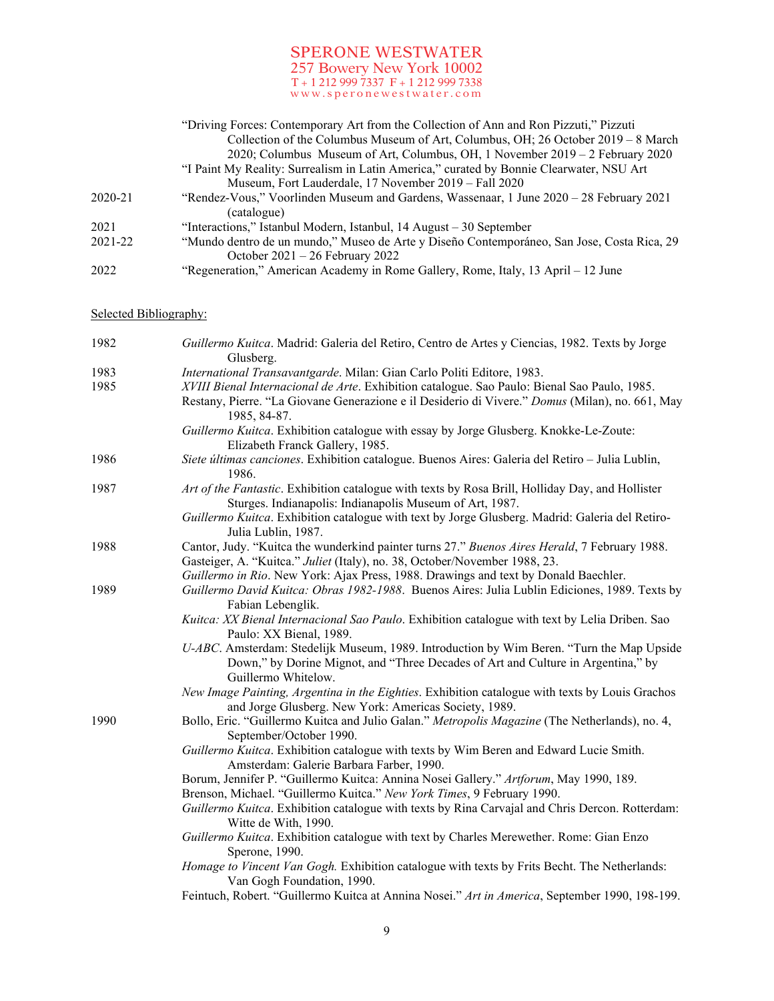|         | "Driving Forces: Contemporary Art from the Collection of Ann and Ron Pizzuti," Pizzuti     |
|---------|--------------------------------------------------------------------------------------------|
|         | Collection of the Columbus Museum of Art, Columbus, OH; 26 October 2019 – 8 March          |
|         | 2020; Columbus Museum of Art, Columbus, OH, 1 November 2019 – 2 February 2020              |
|         | "I Paint My Reality: Surrealism in Latin America," curated by Bonnie Clearwater, NSU Art   |
|         | Museum, Fort Lauderdale, 17 November 2019 – Fall 2020                                      |
| 2020-21 | "Rendez-Vous," Voorlinden Museum and Gardens, Wassenaar, 1 June 2020 – 28 February 2021    |
|         | (catalogue)                                                                                |
| 2021    | "Interactions," Istanbul Modern, Istanbul, 14 August – 30 September                        |
| 2021-22 | "Mundo dentro de un mundo," Museo de Arte y Diseño Contemporáneo, San Jose, Costa Rica, 29 |
|         | October $2021 - 26$ February 2022                                                          |
| 2022    | "Regeneration," American Academy in Rome Gallery, Rome, Italy, 13 April – 12 June          |

# Selected Bibliography:

| 1982 | Guillermo Kuitca. Madrid: Galeria del Retiro, Centro de Artes y Ciencias, 1982. Texts by Jorge<br>Glusberg.                                                                                                     |
|------|-----------------------------------------------------------------------------------------------------------------------------------------------------------------------------------------------------------------|
| 1983 | International Transavantgarde. Milan: Gian Carlo Politi Editore, 1983.                                                                                                                                          |
| 1985 | XVIII Bienal Internacional de Arte. Exhibition catalogue. Sao Paulo: Bienal Sao Paulo, 1985.<br>Restany, Pierre. "La Giovane Generazione e il Desiderio di Vivere." Domus (Milan), no. 661, May<br>1985, 84-87. |
|      | Guillermo Kuitca. Exhibition catalogue with essay by Jorge Glusberg. Knokke-Le-Zoute:<br>Elizabeth Franck Gallery, 1985.                                                                                        |
| 1986 | Siete últimas canciones. Exhibition catalogue. Buenos Aires: Galeria del Retiro - Julia Lublin,<br>1986.                                                                                                        |
| 1987 | Art of the Fantastic. Exhibition catalogue with texts by Rosa Brill, Holliday Day, and Hollister<br>Sturges. Indianapolis: Indianapolis Museum of Art, 1987.                                                    |
|      | Guillermo Kuitca. Exhibition catalogue with text by Jorge Glusberg. Madrid: Galeria del Retiro-<br>Julia Lublin, 1987.                                                                                          |
| 1988 | Cantor, Judy. "Kuitca the wunderkind painter turns 27." Buenos Aires Herald, 7 February 1988.<br>Gasteiger, A. "Kuitca." Juliet (Italy), no. 38, October/November 1988, 23.                                     |
|      | Guillermo in Rio. New York: Ajax Press, 1988. Drawings and text by Donald Baechler.                                                                                                                             |
| 1989 | Guillermo David Kuitca: Obras 1982-1988. Buenos Aires: Julia Lublin Ediciones, 1989. Texts by<br>Fabian Lebenglik.                                                                                              |
|      | Kuitca: XX Bienal Internacional Sao Paulo. Exhibition catalogue with text by Lelia Driben. Sao<br>Paulo: XX Bienal, 1989.                                                                                       |
|      | U-ABC. Amsterdam: Stedelijk Museum, 1989. Introduction by Wim Beren. "Turn the Map Upside<br>Down," by Dorine Mignot, and "Three Decades of Art and Culture in Argentina," by<br>Guillermo Whitelow.            |
|      | New Image Painting, Argentina in the Eighties. Exhibition catalogue with texts by Louis Grachos<br>and Jorge Glusberg. New York: Americas Society, 1989.                                                        |
| 1990 | Bollo, Eric. "Guillermo Kuitca and Julio Galan." Metropolis Magazine (The Netherlands), no. 4,<br>September/October 1990.                                                                                       |
|      | Guillermo Kuitca. Exhibition catalogue with texts by Wim Beren and Edward Lucie Smith.<br>Amsterdam: Galerie Barbara Farber, 1990.                                                                              |
|      | Borum, Jennifer P. "Guillermo Kuitca: Annina Nosei Gallery." Artforum, May 1990, 189.                                                                                                                           |
|      | Brenson, Michael. "Guillermo Kuitca." New York Times, 9 February 1990.                                                                                                                                          |
|      | Guillermo Kuitca. Exhibition catalogue with texts by Rina Carvajal and Chris Dercon. Rotterdam:<br>Witte de With, 1990.                                                                                         |
|      | Guillermo Kuitca. Exhibition catalogue with text by Charles Merewether. Rome: Gian Enzo<br>Sperone, 1990.                                                                                                       |
|      | Homage to Vincent Van Gogh. Exhibition catalogue with texts by Frits Becht. The Netherlands:<br>Van Gogh Foundation, 1990.                                                                                      |
|      | Feintuch, Robert. "Guillermo Kuitca at Annina Nosei." Art in America, September 1990, 198-199.                                                                                                                  |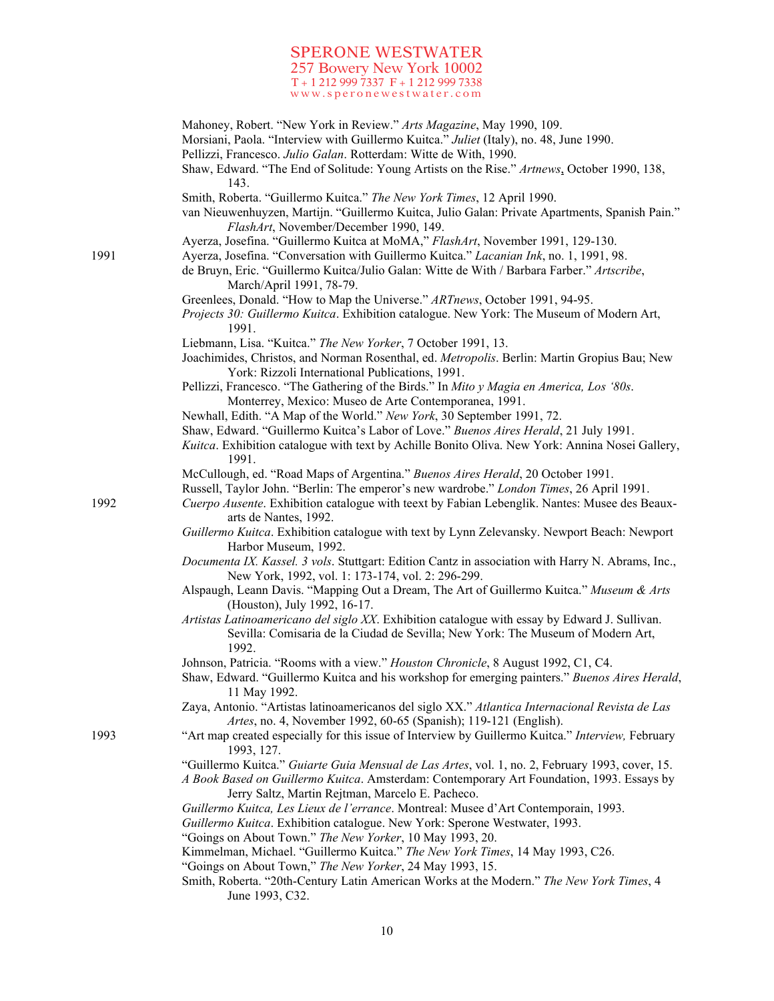|      | Mahoney, Robert. "New York in Review." Arts Magazine, May 1990, 109.<br>Morsiani, Paola. "Interview with Guillermo Kuitca." Juliet (Italy), no. 48, June 1990.<br>Pellizzi, Francesco. Julio Galan. Rotterdam: Witte de With, 1990. |
|------|-------------------------------------------------------------------------------------------------------------------------------------------------------------------------------------------------------------------------------------|
|      | Shaw, Edward. "The End of Solitude: Young Artists on the Rise." Artnews, October 1990, 138,<br>143.                                                                                                                                 |
|      | Smith, Roberta. "Guillermo Kuitca." The New York Times, 12 April 1990.                                                                                                                                                              |
|      | van Nieuwenhuyzen, Martijn. "Guillermo Kuitca, Julio Galan: Private Apartments, Spanish Pain."<br>FlashArt, November/December 1990, 149.                                                                                            |
|      | Ayerza, Josefina. "Guillermo Kuitca at MoMA," FlashArt, November 1991, 129-130.                                                                                                                                                     |
| 1991 | Ayerza, Josefina. "Conversation with Guillermo Kuitca." Lacanian Ink, no. 1, 1991, 98.<br>de Bruyn, Eric. "Guillermo Kuitca/Julio Galan: Witte de With / Barbara Farber." Artscribe,<br>March/April 1991, 78-79.                    |
|      | Greenlees, Donald. "How to Map the Universe." ARTnews, October 1991, 94-95.<br>Projects 30: Guillermo Kuitca. Exhibition catalogue. New York: The Museum of Modern Art,<br>1991.                                                    |
|      | Liebmann, Lisa. "Kuitca." The New Yorker, 7 October 1991, 13.                                                                                                                                                                       |
|      | Joachimides, Christos, and Norman Rosenthal, ed. Metropolis. Berlin: Martin Gropius Bau; New<br>York: Rizzoli International Publications, 1991.                                                                                     |
|      | Pellizzi, Francesco. "The Gathering of the Birds." In Mito y Magia en America, Los '80s.<br>Monterrey, Mexico: Museo de Arte Contemporanea, 1991.                                                                                   |
|      | Newhall, Edith. "A Map of the World." New York, 30 September 1991, 72.                                                                                                                                                              |
|      | Shaw, Edward. "Guillermo Kuitca's Labor of Love." Buenos Aires Herald, 21 July 1991.<br>Kuitca. Exhibition catalogue with text by Achille Bonito Oliva. New York: Annina Nosei Gallery,<br>1991.                                    |
|      | McCullough, ed. "Road Maps of Argentina." Buenos Aires Herald, 20 October 1991.                                                                                                                                                     |
| 1992 | Russell, Taylor John. "Berlin: The emperor's new wardrobe." London Times, 26 April 1991.<br>Cuerpo Ausente. Exhibition catalogue with teext by Fabian Lebenglik. Nantes: Musee des Beaux-<br>arts de Nantes, 1992.                  |
|      | Guillermo Kuitca. Exhibition catalogue with text by Lynn Zelevansky. Newport Beach: Newport<br>Harbor Museum, 1992.                                                                                                                 |
|      | Documenta IX. Kassel. 3 vols. Stuttgart: Edition Cantz in association with Harry N. Abrams, Inc.,<br>New York, 1992, vol. 1: 173-174, vol. 2: 296-299.                                                                              |
|      | Alspaugh, Leann Davis. "Mapping Out a Dream, The Art of Guillermo Kuitca." Museum & Arts<br>(Houston), July 1992, 16-17.                                                                                                            |
|      | Artistas Latinoamericano del siglo XX. Exhibition catalogue with essay by Edward J. Sullivan.<br>Sevilla: Comisaria de la Ciudad de Sevilla; New York: The Museum of Modern Art,<br>1992.                                           |
|      | Johnson, Patricia. "Rooms with a view." Houston Chronicle, 8 August 1992, C1, C4.<br>Shaw, Edward. "Guillermo Kuitca and his workshop for emerging painters." Buenos Aires Herald,<br>11 May 1992.                                  |
|      | Zaya, Antonio. "Artistas latinoamericanos del siglo XX." Atlantica Internacional Revista de Las<br>Artes, no. 4, November 1992, 60-65 (Spanish); 119-121 (English).                                                                 |
| 1993 | "Art map created especially for this issue of Interview by Guillermo Kuitca." Interview, February<br>1993, 127.                                                                                                                     |
|      | "Guillermo Kuitca." Guiarte Guia Mensual de Las Artes, vol. 1, no. 2, February 1993, cover, 15.                                                                                                                                     |
|      | A Book Based on Guillermo Kuitca. Amsterdam: Contemporary Art Foundation, 1993. Essays by<br>Jerry Saltz, Martin Rejtman, Marcelo E. Pacheco.                                                                                       |
|      | Guillermo Kuitca, Les Lieux de l'errance. Montreal: Musee d'Art Contemporain, 1993.<br>Guillermo Kuitca. Exhibition catalogue. New York: Sperone Westwater, 1993.                                                                   |
|      | "Goings on About Town." The New Yorker, 10 May 1993, 20.                                                                                                                                                                            |
|      | Kimmelman, Michael. "Guillermo Kuitca." The New York Times, 14 May 1993, C26.                                                                                                                                                       |
|      | "Goings on About Town," The New Yorker, 24 May 1993, 15.<br>Smith, Roberta. "20th-Century Latin American Works at the Modern." The New York Times, 4<br>June 1993, C32.                                                             |

10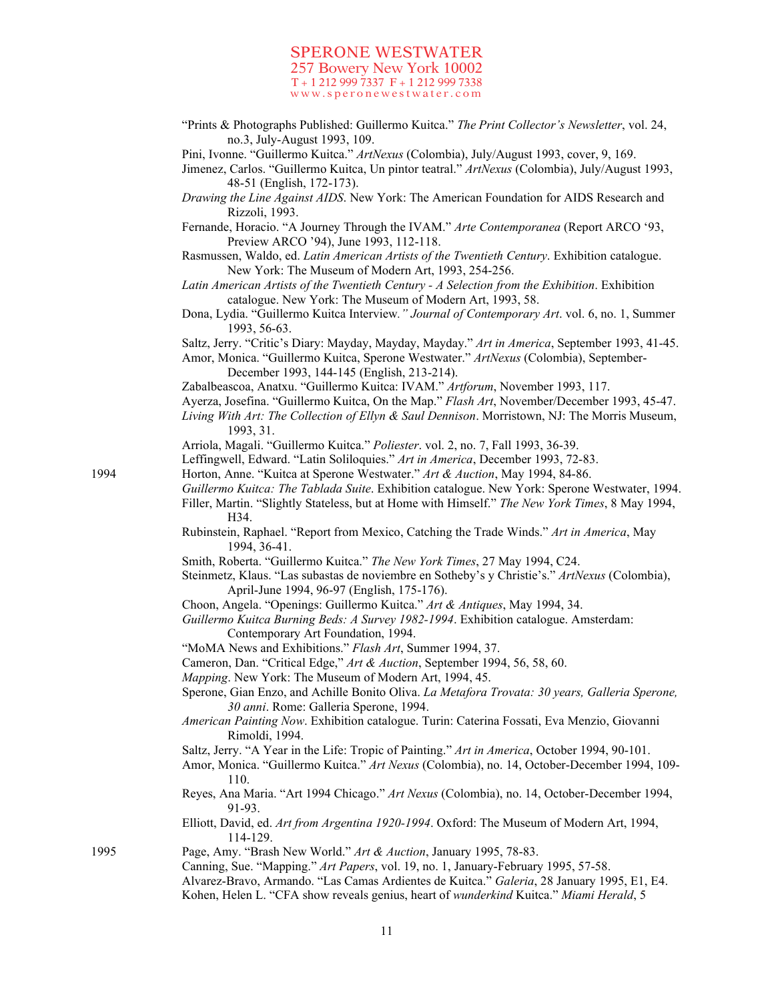"Prints & Photographs Published: Guillermo Kuitca." *The Print Collector's Newsletter*, vol. 24, no.3, July-August 1993, 109.

Pini, Ivonne. "Guillermo Kuitca." *ArtNexus* (Colombia), July/August 1993, cover, 9, 169.

Jimenez, Carlos. "Guillermo Kuitca, Un pintor teatral." *ArtNexus* (Colombia), July/August 1993, 48-51 (English, 172-173).

- *Drawing the Line Against AIDS*. New York: The American Foundation for AIDS Research and Rizzoli, 1993.
- Fernande, Horacio. "A Journey Through the IVAM." *Arte Contemporanea* (Report ARCO '93, Preview ARCO '94), June 1993, 112-118.
- Rasmussen, Waldo, ed. *Latin American Artists of the Twentieth Century*. Exhibition catalogue. New York: The Museum of Modern Art, 1993, 254-256.
- *Latin American Artists of the Twentieth Century - A Selection from the Exhibition*. Exhibition catalogue. New York: The Museum of Modern Art, 1993, 58.
- Dona, Lydia. "Guillermo Kuitca Interview*." Journal of Contemporary Art*. vol. 6, no. 1, Summer 1993, 56-63.

Saltz, Jerry. "Critic's Diary: Mayday, Mayday, Mayday." *Art in America*, September 1993, 41-45.

Amor, Monica. "Guillermo Kuitca, Sperone Westwater." *ArtNexus* (Colombia), September-December 1993, 144-145 (English, 213-214).

Zabalbeascoa, Anatxu. "Guillermo Kuitca: IVAM." *Artforum*, November 1993, 117.

Ayerza, Josefina. "Guillermo Kuitca, On the Map." *Flash Art*, November/December 1993, 45-47.

*Living With Art: The Collection of Ellyn & Saul Dennison*. Morristown, NJ: The Morris Museum, 1993, 31.

Arriola, Magali. "Guillermo Kuitca." *Poliester*. vol. 2, no. 7, Fall 1993, 36-39.

- Leffingwell, Edward. "Latin Soliloquies." *Art in America*, December 1993, 72-83.
- 1994 Horton, Anne. "Kuitca at Sperone Westwater." *Art & Auction*, May 1994, 84-86.
	- *Guillermo Kuitca: The Tablada Suite*. Exhibition catalogue. New York: Sperone Westwater, 1994. Filler, Martin. "Slightly Stateless, but at Home with Himself." *The New York Times*, 8 May 1994,
	- H34. Rubinstein, Raphael. "Report from Mexico, Catching the Trade Winds." *Art in America*, May
	- 1994, 36-41. Smith, Roberta. "Guillermo Kuitca." *The New York Times*, 27 May 1994, C24.
	- Steinmetz, Klaus. "Las subastas de noviembre en Sotheby's y Christie's." *ArtNexus* (Colombia), April-June 1994, 96-97 (English, 175-176).
	- Choon, Angela. "Openings: Guillermo Kuitca." *Art & Antiques*, May 1994, 34.
	- *Guillermo Kuitca Burning Beds: A Survey 1982-1994*. Exhibition catalogue. Amsterdam: Contemporary Art Foundation, 1994.
	- "MoMA News and Exhibitions." *Flash Art*, Summer 1994, 37.
	- Cameron, Dan. "Critical Edge," *Art & Auction*, September 1994, 56, 58, 60.
	- *Mapping*. New York: The Museum of Modern Art, 1994, 45.
	- Sperone, Gian Enzo, and Achille Bonito Oliva. *La Metafora Trovata: 30 years, Galleria Sperone, 30 anni*. Rome: Galleria Sperone, 1994.
	- *American Painting Now*. Exhibition catalogue. Turin: Caterina Fossati, Eva Menzio, Giovanni Rimoldi, 1994.
	- Saltz, Jerry. "A Year in the Life: Tropic of Painting." *Art in America*, October 1994, 90-101.
	- Amor, Monica. "Guillermo Kuitca." *Art Nexus* (Colombia), no. 14, October-December 1994, 109- 110.
	- Reyes, Ana Maria. "Art 1994 Chicago." *Art Nexus* (Colombia), no. 14, October-December 1994, 91-93.
	- Elliott, David, ed. *Art from Argentina 1920-1994*. Oxford: The Museum of Modern Art, 1994, 114-129.

1995 Page, Amy. "Brash New World." *Art & Auction*, January 1995, 78-83. Canning, Sue. "Mapping." *Art Papers*, vol. 19, no. 1, January-February 1995, 57-58. Alvarez-Bravo, Armando. "Las Camas Ardientes de Kuitca." *Galeria*, 28 January 1995, E1, E4. Kohen, Helen L. "CFA show reveals genius, heart of *wunderkind* Kuitca." *Miami Herald*, 5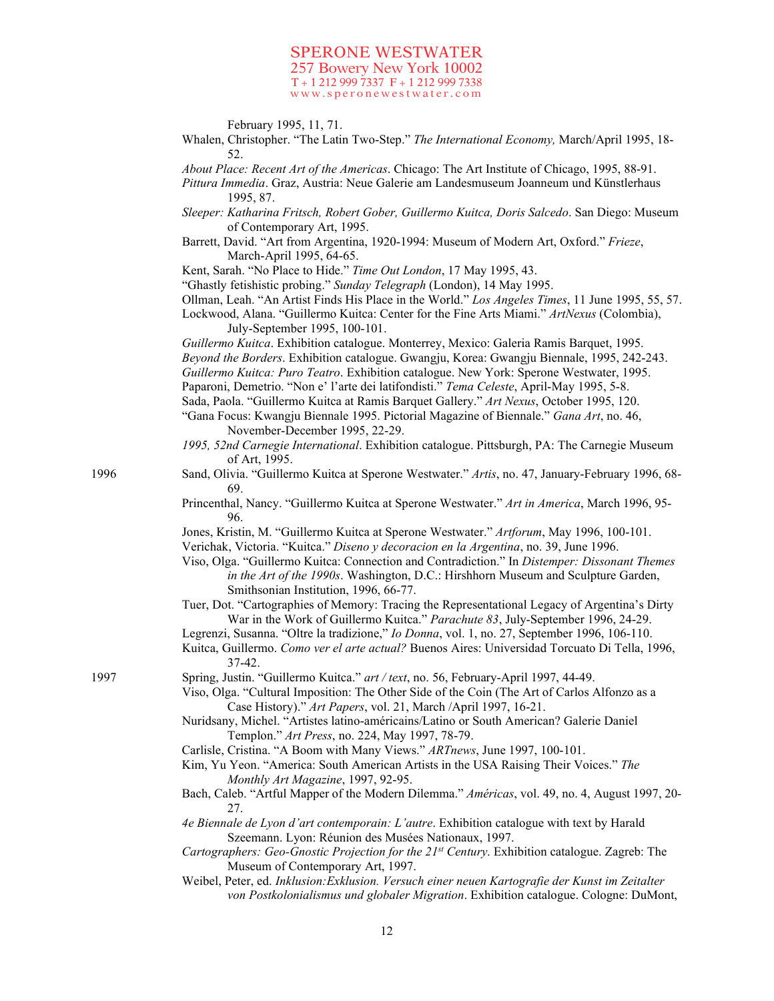February 1995, 11, 71.

Whalen, Christopher. "The Latin Two-Step." *The International Economy,* March/April 1995, 18- 52.

*About Place: Recent Art of the Americas*. Chicago: The Art Institute of Chicago, 1995, 88-91.

- *Pittura Immedia*. Graz, Austria: Neue Galerie am Landesmuseum Joanneum und Künstlerhaus 1995, 87.
- *Sleeper: Katharina Fritsch, Robert Gober, Guillermo Kuitca, Doris Salcedo*. San Diego: Museum of Contemporary Art, 1995.
- Barrett, David. "Art from Argentina, 1920-1994: Museum of Modern Art, Oxford." *Frieze*, March-April 1995, 64-65.
- Kent, Sarah. "No Place to Hide." *Time Out London*, 17 May 1995, 43.

"Ghastly fetishistic probing." *Sunday Telegraph* (London), 14 May 1995.

- Ollman, Leah. "An Artist Finds His Place in the World." *Los Angeles Times*, 11 June 1995, 55, 57.
- Lockwood, Alana. "Guillermo Kuitca: Center for the Fine Arts Miami." *ArtNexus* (Colombia), July-September 1995, 100-101.

*Guillermo Kuitca*. Exhibition catalogue. Monterrey, Mexico: Galeria Ramis Barquet, 1995. *Beyond the Borders*. Exhibition catalogue. Gwangju, Korea: Gwangju Biennale, 1995, 242-243. *Guillermo Kuitca: Puro Teatro*. Exhibition catalogue. New York: Sperone Westwater, 1995. Paparoni, Demetrio. "Non e' l'arte dei latifondisti." *Tema Celeste*, April-May 1995, 5-8. Sada, Paola. "Guillermo Kuitca at Ramis Barquet Gallery." *Art Nexus*, October 1995, 120. "Gana Focus: Kwangju Biennale 1995. Pictorial Magazine of Biennale." *Gana Art*, no. 46, November-December 1995, 22-29.

- *1995, 52nd Carnegie International*. Exhibition catalogue. Pittsburgh, PA: The Carnegie Museum of Art, 1995.
- 1996 Sand, Olivia. "Guillermo Kuitca at Sperone Westwater." *Artis*, no. 47, January-February 1996, 68- 69.
	- Princenthal, Nancy. "Guillermo Kuitca at Sperone Westwater." *Art in America*, March 1996, 95- 96.

Jones, Kristin, M. "Guillermo Kuitca at Sperone Westwater." *Artforum*, May 1996, 100-101. Verichak, Victoria. "Kuitca." *Diseno y decoracion en la Argentina*, no. 39, June 1996.

- Viso, Olga. "Guillermo Kuitca: Connection and Contradiction." In *Distemper: Dissonant Themes in the Art of the 1990s*. Washington, D.C.: Hirshhorn Museum and Sculpture Garden, Smithsonian Institution, 1996, 66-77.
- Tuer, Dot. "Cartographies of Memory: Tracing the Representational Legacy of Argentina's Dirty War in the Work of Guillermo Kuitca." *Parachute 83*, July-September 1996, 24-29.
- Legrenzi, Susanna. "Oltre la tradizione," *Io Donna*, vol. 1, no. 27, September 1996, 106-110. Kuitca, Guillermo. *Como ver el arte actual?* Buenos Aires: Universidad Torcuato Di Tella, 1996,
- 37-42.
- 1997 Spring, Justin. "Guillermo Kuitca." *art / text*, no. 56, February-April 1997, 44-49.

Viso, Olga. "Cultural Imposition: The Other Side of the Coin (The Art of Carlos Alfonzo as a Case History)." *Art Papers*, vol. 21, March /April 1997, 16-21.

- Nuridsany, Michel. "Artistes latino-américains/Latino or South American? Galerie Daniel Templon." *Art Press*, no. 224, May 1997, 78-79.
- Carlisle, Cristina. "A Boom with Many Views." *ARTnews*, June 1997, 100-101.
- Kim, Yu Yeon. "America: South American Artists in the USA Raising Their Voices." *The Monthly Art Magazine*, 1997, 92-95.
- Bach, Caleb. "Artful Mapper of the Modern Dilemma." *Américas*, vol. 49, no. 4, August 1997, 20- 27.

*4e Biennale de Lyon d'art contemporain: L'autre*. Exhibition catalogue with text by Harald Szeemann. Lyon: Réunion des Musées Nationaux, 1997.

- *Cartographers: Geo-Gnostic Projection for the 21st Century*. Exhibition catalogue. Zagreb: The Museum of Contemporary Art, 1997.
- Weibel, Peter, ed. *Inklusion:Exklusion. Versuch einer neuen Kartografie der Kunst im Zeitalter von Postkolonialismus und globaler Migration*. Exhibition catalogue. Cologne: DuMont,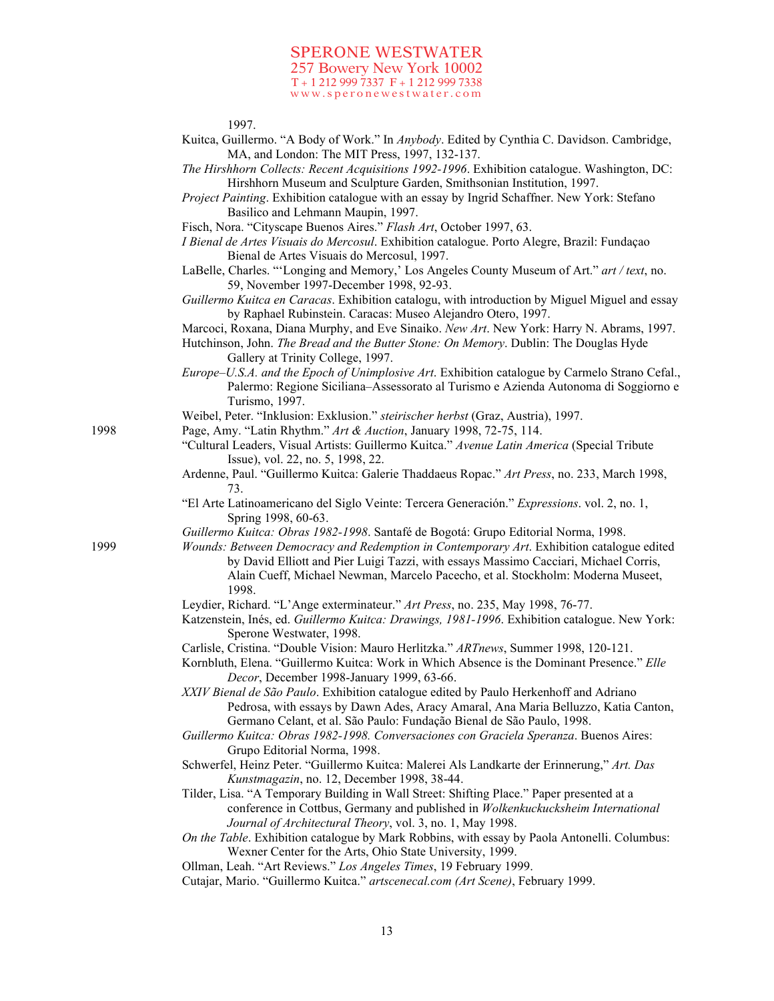#### 1997.

- Kuitca, Guillermo. "A Body of Work." In *Anybody*. Edited by Cynthia C. Davidson. Cambridge, MA, and London: The MIT Press, 1997, 132-137.
- *The Hirshhorn Collects: Recent Acquisitions 1992-1996*. Exhibition catalogue. Washington, DC: Hirshhorn Museum and Sculpture Garden, Smithsonian Institution, 1997.
- *Project Painting*. Exhibition catalogue with an essay by Ingrid Schaffner. New York: Stefano Basilico and Lehmann Maupin, 1997.
- Fisch, Nora. "Cityscape Buenos Aires." *Flash Art*, October 1997, 63.
- *I Bienal de Artes Visuais do Mercosul*. Exhibition catalogue. Porto Alegre, Brazil: Fundaçao Bienal de Artes Visuais do Mercosul, 1997.
- LaBelle, Charles. "'Longing and Memory,' Los Angeles County Museum of Art." *art / text*, no. 59, November 1997-December 1998, 92-93.
- *Guillermo Kuitca en Caracas*. Exhibition catalogu, with introduction by Miguel Miguel and essay by Raphael Rubinstein. Caracas: Museo Alejandro Otero, 1997.
- Marcoci, Roxana, Diana Murphy, and Eve Sinaiko. *New Art*. New York: Harry N. Abrams, 1997.
- Hutchinson, John. *The Bread and the Butter Stone: On Memory*. Dublin: The Douglas Hyde Gallery at Trinity College, 1997.
- *Europe–U.S.A. and the Epoch of Unimplosive Art*. Exhibition catalogue by Carmelo Strano Cefal., Palermo: Regione Siciliana–Assessorato al Turismo e Azienda Autonoma di Soggiorno e Turismo, 1997.
- Weibel, Peter. "Inklusion: Exklusion." *steirischer herbst* (Graz, Austria), 1997.
- 1998 Page, Amy. "Latin Rhythm." *Art & Auction*, January 1998, 72-75, 114.
	- "Cultural Leaders, Visual Artists: Guillermo Kuitca." *Avenue Latin America* (Special Tribute Issue), vol. 22, no. 5, 1998, 22.
	- Ardenne, Paul. "Guillermo Kuitca: Galerie Thaddaeus Ropac." *Art Press*, no. 233, March 1998, 73.
	- "El Arte Latinoamericano del Siglo Veinte: Tercera Generación." *Expressions*. vol. 2, no. 1, Spring 1998, 60-63.
	- *Guillermo Kuitca: Obras 1982-1998*. Santafé de Bogotá: Grupo Editorial Norma, 1998.
- 1999 *Wounds: Between Democracy and Redemption in Contemporary Art*. Exhibition catalogue edited by David Elliott and Pier Luigi Tazzi, with essays Massimo Cacciari, Michael Corris, Alain Cueff, Michael Newman, Marcelo Pacecho, et al. Stockholm: Moderna Museet, 1998.
	- Leydier, Richard. "L'Ange exterminateur." *Art Press*, no. 235, May 1998, 76-77.
	- Katzenstein, Inés, ed. *Guillermo Kuitca: Drawings, 1981-1996*. Exhibition catalogue. New York: Sperone Westwater, 1998.
	- Carlisle, Cristina. "Double Vision: Mauro Herlitzka." *ARTnews*, Summer 1998, 120-121.
	- Kornbluth, Elena. "Guillermo Kuitca: Work in Which Absence is the Dominant Presence." *Elle Decor*, December 1998-January 1999, 63-66.
	- *XXIV Bienal de São Paulo*. Exhibition catalogue edited by Paulo Herkenhoff and Adriano Pedrosa, with essays by Dawn Ades, Aracy Amaral, Ana Maria Belluzzo, Katia Canton, Germano Celant, et al. São Paulo: Fundação Bienal de São Paulo, 1998.
	- *Guillermo Kuitca: Obras 1982-1998. Conversaciones con Graciela Speranza*. Buenos Aires: Grupo Editorial Norma, 1998.
	- Schwerfel, Heinz Peter. "Guillermo Kuitca: Malerei Als Landkarte der Erinnerung," *Art. Das Kunstmagazin*, no. 12, December 1998, 38-44.
	- Tilder, Lisa. "A Temporary Building in Wall Street: Shifting Place." Paper presented at a conference in Cottbus, Germany and published in *Wolkenkuckucksheim International Journal of Architectural Theory*, vol. 3, no. 1, May 1998.
	- *On the Table*. Exhibition catalogue by Mark Robbins, with essay by Paola Antonelli. Columbus: Wexner Center for the Arts, Ohio State University, 1999.
	- Ollman, Leah. "Art Reviews." *Los Angeles Times*, 19 February 1999.
	- Cutajar, Mario. "Guillermo Kuitca." *artscenecal.com (Art Scene)*, February 1999.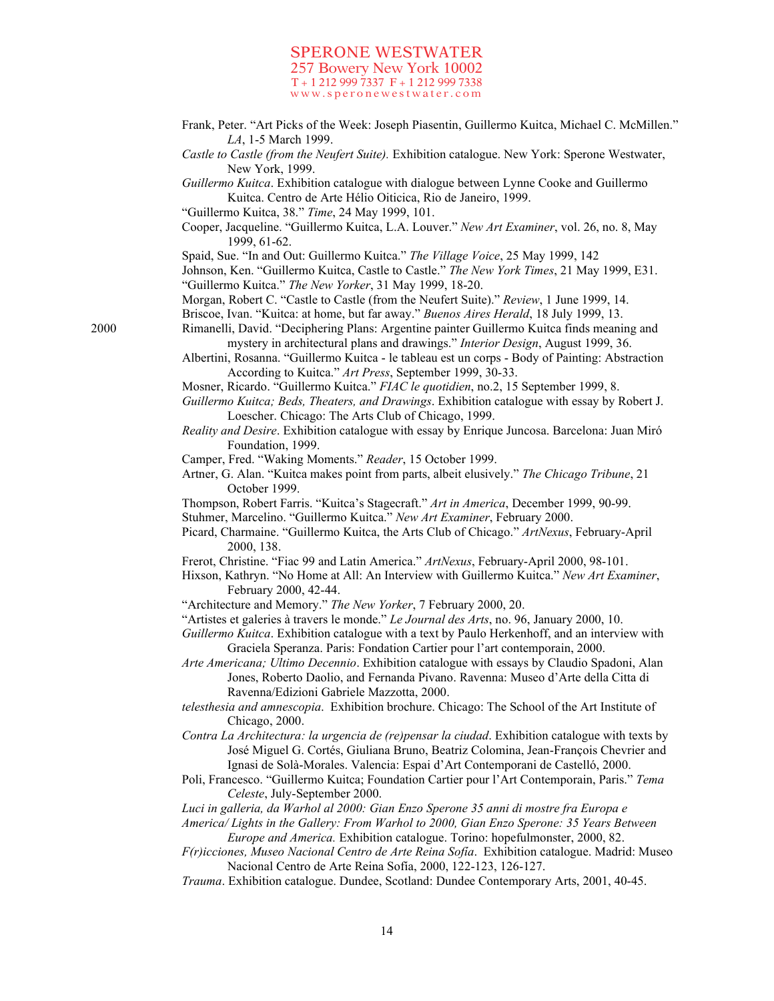- Frank, Peter. "Art Picks of the Week: Joseph Piasentin, Guillermo Kuitca, Michael C. McMillen." *LA*, 1-5 March 1999.
- *Castle to Castle (from the Neufert Suite).* Exhibition catalogue. New York: Sperone Westwater, New York, 1999.
- *Guillermo Kuitca*. Exhibition catalogue with dialogue between Lynne Cooke and Guillermo Kuitca. Centro de Arte Hélio Oiticica, Rio de Janeiro, 1999.

"Guillermo Kuitca, 38." *Time*, 24 May 1999, 101.

- Cooper, Jacqueline. "Guillermo Kuitca, L.A. Louver." *New Art Examiner*, vol. 26, no. 8, May 1999, 61-62.
- Spaid, Sue. "In and Out: Guillermo Kuitca." *The Village Voice*, 25 May 1999, 142

Johnson, Ken. "Guillermo Kuitca, Castle to Castle." *The New York Times*, 21 May 1999, E31. "Guillermo Kuitca." *The New Yorker*, 31 May 1999, 18-20.

Morgan, Robert C. "Castle to Castle (from the Neufert Suite)." *Review*, 1 June 1999, 14.

Briscoe, Ivan. "Kuitca: at home, but far away." *Buenos Aires Herald*, 18 July 1999, 13.

2000 Rimanelli, David. "Deciphering Plans: Argentine painter Guillermo Kuitca finds meaning and mystery in architectural plans and drawings." *Interior Design*, August 1999, 36.

> Albertini, Rosanna. "Guillermo Kuitca - le tableau est un corps - Body of Painting: Abstraction According to Kuitca." *Art Press*, September 1999, 30-33.

Mosner, Ricardo. "Guillermo Kuitca." *FIAC le quotidien*, no.2, 15 September 1999, 8.

- *Guillermo Kuitca; Beds, Theaters, and Drawings*. Exhibition catalogue with essay by Robert J. Loescher. Chicago: The Arts Club of Chicago, 1999.
- *Reality and Desire*. Exhibition catalogue with essay by Enrique Juncosa. Barcelona: Juan Miró Foundation, 1999.
- Camper, Fred. "Waking Moments." *Reader*, 15 October 1999.
- Artner, G. Alan. "Kuitca makes point from parts, albeit elusively." *The Chicago Tribune*, 21 October 1999.

Thompson, Robert Farris. "Kuitca's Stagecraft." *Art in America*, December 1999, 90-99.

- Stuhmer, Marcelino. "Guillermo Kuitca." *New Art Examiner*, February 2000.
- Picard, Charmaine. "Guillermo Kuitca, the Arts Club of Chicago." *ArtNexus*, February-April 2000, 138.
- Frerot, Christine. "Fiac 99 and Latin America." *ArtNexus*, February-April 2000, 98-101.
- Hixson, Kathryn. "No Home at All: An Interview with Guillermo Kuitca." *New Art Examiner*, February 2000, 42-44.
- "Architecture and Memory." *The New Yorker*, 7 February 2000, 20.
- "Artistes et galeries à travers le monde." *Le Journal des Arts*, no. 96, January 2000, 10.
- *Guillermo Kuitca*. Exhibition catalogue with a text by Paulo Herkenhoff, and an interview with Graciela Speranza. Paris: Fondation Cartier pour l'art contemporain, 2000.
- *Arte Americana; Ultimo Decennio*. Exhibition catalogue with essays by Claudio Spadoni, Alan Jones, Roberto Daolio, and Fernanda Pivano. Ravenna: Museo d'Arte della Citta di Ravenna/Edizioni Gabriele Mazzotta, 2000.
- *telesthesia and amnescopia*. Exhibition brochure. Chicago: The School of the Art Institute of Chicago, 2000.
- *Contra La Architectura: la urgencia de (re)pensar la ciudad*. Exhibition catalogue with texts by José Miguel G. Cortés, Giuliana Bruno, Beatriz Colomina, Jean-François Chevrier and Ignasi de Solà-Morales. Valencia: Espai d'Art Contemporani de Castelló, 2000.
- Poli, Francesco. "Guillermo Kuitca; Foundation Cartier pour l'Art Contemporain, Paris." *Tema Celeste*, July-September 2000.
- *Luci in galleria, da Warhol al 2000: Gian Enzo Sperone 35 anni di mostre fra Europa e*
- *America/ Lights in the Gallery: From Warhol to 2000, Gian Enzo Sperone: 35 Years Between Europe and America.* Exhibition catalogue. Torino: hopefulmonster, 2000, 82.
- *F(r)icciones, Museo Nacional Centro de Arte Reina Sofía*. Exhibition catalogue. Madrid: Museo Nacional Centro de Arte Reina Sofía, 2000, 122-123, 126-127.
- *Trauma*. Exhibition catalogue. Dundee, Scotland: Dundee Contemporary Arts, 2001, 40-45.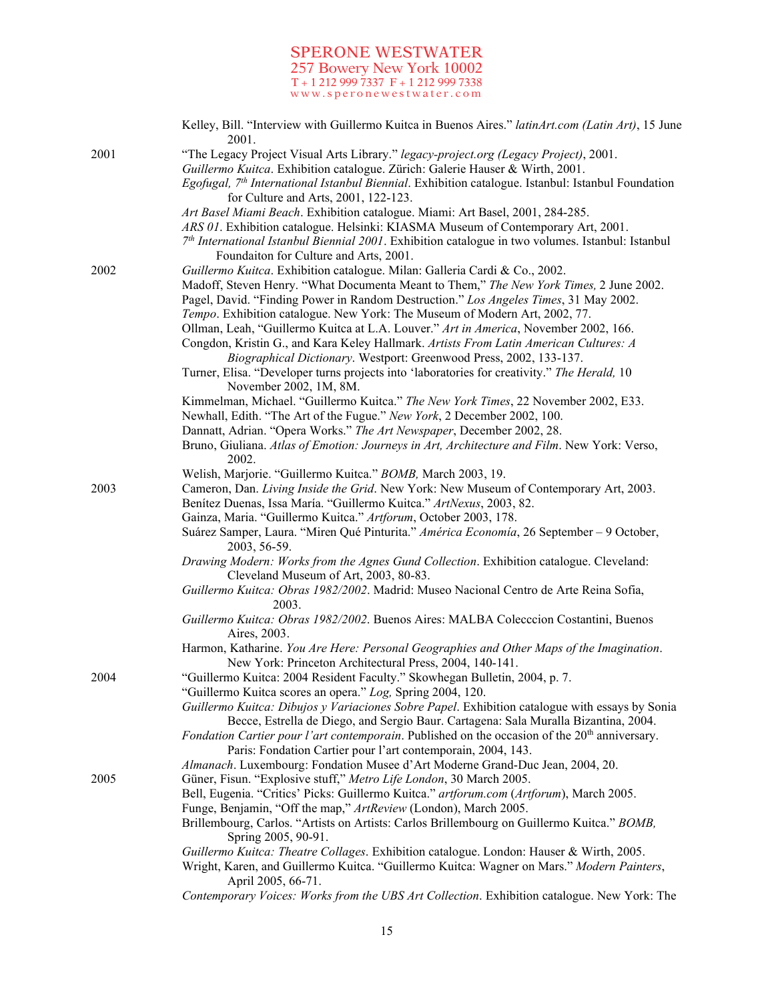|      | Kelley, Bill. "Interview with Guillermo Kuitca in Buenos Aires." latinArt.com (Latin Art), 15 June<br>2001.                                                                                                                                         |
|------|-----------------------------------------------------------------------------------------------------------------------------------------------------------------------------------------------------------------------------------------------------|
| 2001 | "The Legacy Project Visual Arts Library." legacy-project.org (Legacy Project), 2001.<br>Guillermo Kuitca. Exhibition catalogue. Zürich: Galerie Hauser & Wirth, 2001.                                                                               |
|      | Egofugal, 7 <sup>th</sup> International Istanbul Biennial. Exhibition catalogue. Istanbul: Istanbul Foundation<br>for Culture and Arts, 2001, 122-123.                                                                                              |
|      | Art Basel Miami Beach. Exhibition catalogue. Miami: Art Basel, 2001, 284-285.                                                                                                                                                                       |
|      | ARS 01. Exhibition catalogue. Helsinki: KIASMA Museum of Contemporary Art, 2001.<br>$7th International Istanbul Biennial 2001. Exhibit to catalogue in two volumes. Istanbul: Istanbul$                                                             |
|      | Foundaiton for Culture and Arts, 2001.                                                                                                                                                                                                              |
| 2002 | Guillermo Kuitca. Exhibition catalogue. Milan: Galleria Cardi & Co., 2002.                                                                                                                                                                          |
|      | Madoff, Steven Henry. "What Documenta Meant to Them," The New York Times, 2 June 2002.<br>Pagel, David. "Finding Power in Random Destruction." Los Angeles Times, 31 May 2002.                                                                      |
|      | Tempo. Exhibition catalogue. New York: The Museum of Modern Art, 2002, 77.                                                                                                                                                                          |
|      | Ollman, Leah, "Guillermo Kuitca at L.A. Louver." Art in America, November 2002, 166.<br>Congdon, Kristin G., and Kara Keley Hallmark. Artists From Latin American Cultures: A<br>Biographical Dictionary. Westport: Greenwood Press, 2002, 133-137. |
|      | Turner, Elisa. "Developer turns projects into 'laboratories for creativity." The Herald, 10<br>November 2002, 1M, 8M.                                                                                                                               |
|      | Kimmelman, Michael. "Guillermo Kuitca." The New York Times, 22 November 2002, E33.                                                                                                                                                                  |
|      | Newhall, Edith. "The Art of the Fugue." New York, 2 December 2002, 100.                                                                                                                                                                             |
|      | Dannatt, Adrian. "Opera Works." The Art Newspaper, December 2002, 28.                                                                                                                                                                               |
|      | Bruno, Giuliana. Atlas of Emotion: Journeys in Art, Architecture and Film. New York: Verso,<br>2002.                                                                                                                                                |
|      | Welish, Marjorie. "Guillermo Kuitca." BOMB, March 2003, 19.                                                                                                                                                                                         |
| 2003 | Cameron, Dan. Living Inside the Grid. New York: New Museum of Contemporary Art, 2003.                                                                                                                                                               |
|      | Benítez Duenas, Issa María. "Guillermo Kuitca." ArtNexus, 2003, 82.                                                                                                                                                                                 |
|      | Gainza, Maria. "Guillermo Kuitca." Artforum, October 2003, 178.                                                                                                                                                                                     |
|      | Suárez Samper, Laura. "Miren Qué Pinturita." América Economía, 26 September - 9 October,<br>2003, 56-59.                                                                                                                                            |
|      | Drawing Modern: Works from the Agnes Gund Collection. Exhibition catalogue. Cleveland:<br>Cleveland Museum of Art, 2003, 80-83.                                                                                                                     |
|      | Guillermo Kuitca: Obras 1982/2002. Madrid: Museo Nacional Centro de Arte Reina Sofia,<br>2003.                                                                                                                                                      |
|      | Guillermo Kuitca: Obras 1982/2002. Buenos Aires: MALBA Colecccion Costantini, Buenos<br>Aires, 2003.                                                                                                                                                |
|      | Harmon, Katharine. You Are Here: Personal Geographies and Other Maps of the Imagination.<br>New York: Princeton Architectural Press, 2004, 140-141.                                                                                                 |
| 2004 | "Guillermo Kuitca: 2004 Resident Faculty." Skowhegan Bulletin, 2004, p. 7.                                                                                                                                                                          |
|      | "Guillermo Kuitca scores an opera." Log, Spring 2004, 120.<br>Guillermo Kuitca: Dibujos y Variaciones Sobre Papel. Exhibition catalogue with essays by Sonia                                                                                        |
|      | Becce, Estrella de Diego, and Sergio Baur. Cartagena: Sala Muralla Bizantina, 2004.                                                                                                                                                                 |
|      | <i>Fondation Cartier pour l'art contemporain.</i> Published on the occasion of the 20 <sup>th</sup> anniversary.                                                                                                                                    |
|      | Paris: Fondation Cartier pour l'art contemporain, 2004, 143.                                                                                                                                                                                        |
|      | Almanach. Luxembourg: Fondation Musee d'Art Moderne Grand-Duc Jean, 2004, 20.                                                                                                                                                                       |
| 2005 | Güner, Fisun. "Explosive stuff," Metro Life London, 30 March 2005.<br>Bell, Eugenia. "Critics' Picks: Guillermo Kuitca." artforum.com (Artforum), March 2005.                                                                                       |
|      | Funge, Benjamin, "Off the map," ArtReview (London), March 2005.                                                                                                                                                                                     |
|      | Brillembourg, Carlos. "Artists on Artists: Carlos Brillembourg on Guillermo Kuitca." BOMB,<br>Spring 2005, 90-91.                                                                                                                                   |
|      | Guillermo Kuitca: Theatre Collages. Exhibition catalogue. London: Hauser & Wirth, 2005.                                                                                                                                                             |
|      | Wright, Karen, and Guillermo Kuitca. "Guillermo Kuitca: Wagner on Mars." Modern Painters,<br>April 2005, 66-71.                                                                                                                                     |
|      | Contemporary Voices: Works from the UBS Art Collection. Exhibition catalogue. New York: The                                                                                                                                                         |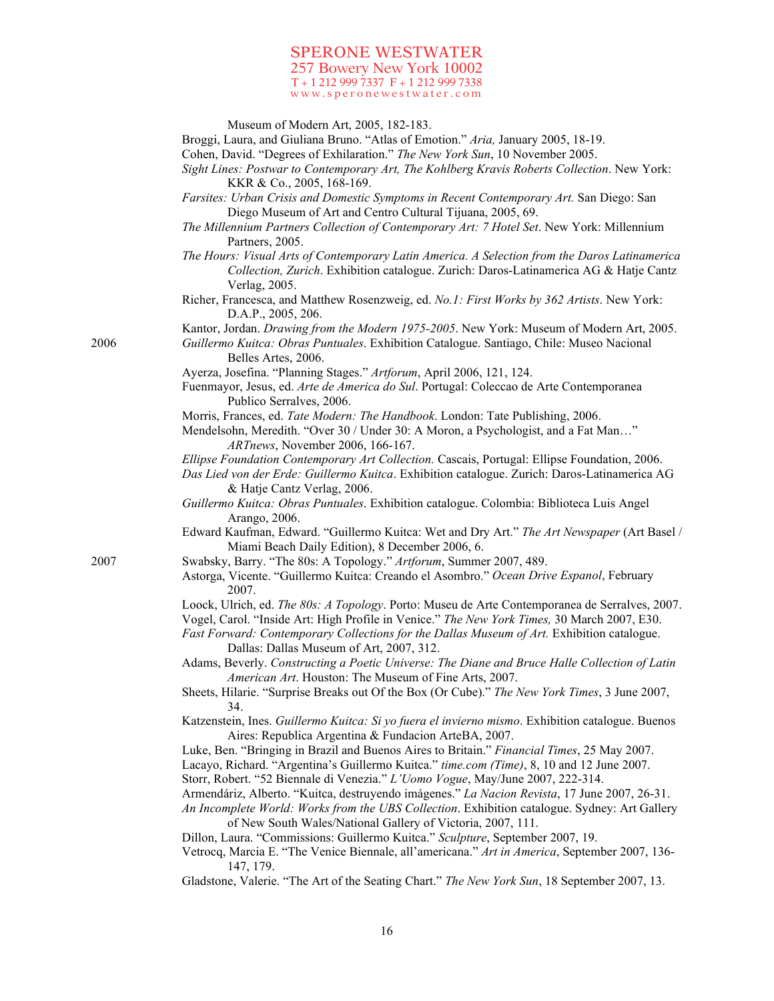|      | Museum of Modern Art, 2005, 182-183.<br>Broggi, Laura, and Giuliana Bruno. "Atlas of Emotion." Aria, January 2005, 18-19.                                                                     |
|------|-----------------------------------------------------------------------------------------------------------------------------------------------------------------------------------------------|
|      | Cohen, David. "Degrees of Exhilaration." The New York Sun, 10 November 2005.                                                                                                                  |
|      | Sight Lines: Postwar to Contemporary Art, The Kohlberg Kravis Roberts Collection. New York:                                                                                                   |
|      | KKR & Co., 2005, 168-169.                                                                                                                                                                     |
|      | Farsites: Urban Crisis and Domestic Symptoms in Recent Contemporary Art. San Diego: San<br>Diego Museum of Art and Centro Cultural Tijuana, 2005, 69.                                         |
|      | The Millennium Partners Collection of Contemporary Art: 7 Hotel Set. New York: Millennium                                                                                                     |
|      | Partners, 2005.                                                                                                                                                                               |
|      | The Hours: Visual Arts of Contemporary Latin America. A Selection from the Daros Latinamerica                                                                                                 |
|      | Collection, Zurich. Exhibition catalogue. Zurich: Daros-Latinamerica AG & Hatje Cantz<br>Verlag, 2005.                                                                                        |
|      | Richer, Francesca, and Matthew Rosenzweig, ed. No.1: First Works by 362 Artists. New York:<br>D.A.P., 2005, 206.                                                                              |
|      | Kantor, Jordan. Drawing from the Modern 1975-2005. New York: Museum of Modern Art, 2005.                                                                                                      |
| 2006 | Guillermo Kuitca: Obras Puntuales. Exhibition Catalogue. Santiago, Chile: Museo Nacional<br>Belles Artes, 2006.                                                                               |
|      | Ayerza, Josefina. "Planning Stages." Artforum, April 2006, 121, 124.                                                                                                                          |
|      | Fuenmayor, Jesus, ed. Arte de America do Sul. Portugal: Coleccao de Arte Contemporanea<br>Publico Serralves, 2006.                                                                            |
|      | Morris, Frances, ed. Tate Modern: The Handbook. London: Tate Publishing, 2006.                                                                                                                |
|      | Mendelsohn, Meredith. "Over 30 / Under 30: A Moron, a Psychologist, and a Fat Man"<br>ARTnews, November 2006, 166-167.                                                                        |
|      | Ellipse Foundation Contemporary Art Collection. Cascais, Portugal: Ellipse Foundation, 2006.                                                                                                  |
|      | Das Lied von der Erde: Guillermo Kuitca. Exhibition catalogue. Zurich: Daros-Latinamerica AG<br>& Hatje Cantz Verlag, 2006.                                                                   |
|      | Guillermo Kuitca: Obras Puntuales. Exhibition catalogue. Colombia: Biblioteca Luis Angel<br>Arango, 2006.                                                                                     |
|      | Edward Kaufman, Edward. "Guillermo Kuitca: Wet and Dry Art." The Art Newspaper (Art Basel /<br>Miami Beach Daily Edition), 8 December 2006, 6.                                                |
| 2007 | Swabsky, Barry. "The 80s: A Topology." Artforum, Summer 2007, 489.                                                                                                                            |
|      | Astorga, Vicente. "Guillermo Kuitca: Creando el Asombro." Ocean Drive Espanol, February<br>2007.                                                                                              |
|      | Loock, Ulrich, ed. The 80s: A Topology. Porto: Museu de Arte Contemporanea de Serralves, 2007.<br>Vogel, Carol. "Inside Art: High Profile in Venice." The New York Times, 30 March 2007, E30. |
|      | Fast Forward: Contemporary Collections for the Dallas Museum of Art. Exhibition catalogue.<br>Dallas: Dallas Museum of Art, 2007, 312.                                                        |
|      | Adams, Beverly. Constructing a Poetic Universe: The Diane and Bruce Halle Collection of Latin                                                                                                 |
|      | American Art. Houston: The Museum of Fine Arts, 2007.                                                                                                                                         |
|      | Sheets, Hilarie. "Surprise Breaks out Of the Box (Or Cube)." The New York Times, 3 June 2007,<br>34.                                                                                          |
|      | Katzenstein, Ines. Guillermo Kuitca: Si yo fuera el invierno mismo. Exhibition catalogue. Buenos<br>Aires: Republica Argentina & Fundacion ArteBA, 2007.                                      |
|      | Luke, Ben. "Bringing in Brazil and Buenos Aires to Britain." Financial Times, 25 May 2007.                                                                                                    |
|      | Lacayo, Richard. "Argentina's Guillermo Kuitca." time.com (Time), 8, 10 and 12 June 2007.                                                                                                     |
|      | Storr, Robert. "52 Biennale di Venezia." L'Uomo Vogue, May/June 2007, 222-314.                                                                                                                |
|      | Armendáriz, Alberto. "Kuitca, destruyendo imágenes." La Nacion Revista, 17 June 2007, 26-31.                                                                                                  |
|      | An Incomplete World: Works from the UBS Collection. Exhibition catalogue. Sydney: Art Gallery<br>of New South Wales/National Gallery of Victoria, 2007, 111.                                  |
|      | Dillon, Laura. "Commissions: Guillermo Kuitca." Sculpture, September 2007, 19.<br>Vetrocq, Marcia E. "The Venice Biennale, all'americana." Art in America, September 2007, 136-<br>147, 179.  |
|      | Gladstone, Valerie. "The Art of the Seating Chart." The New York Sun, 18 September 2007, 13.                                                                                                  |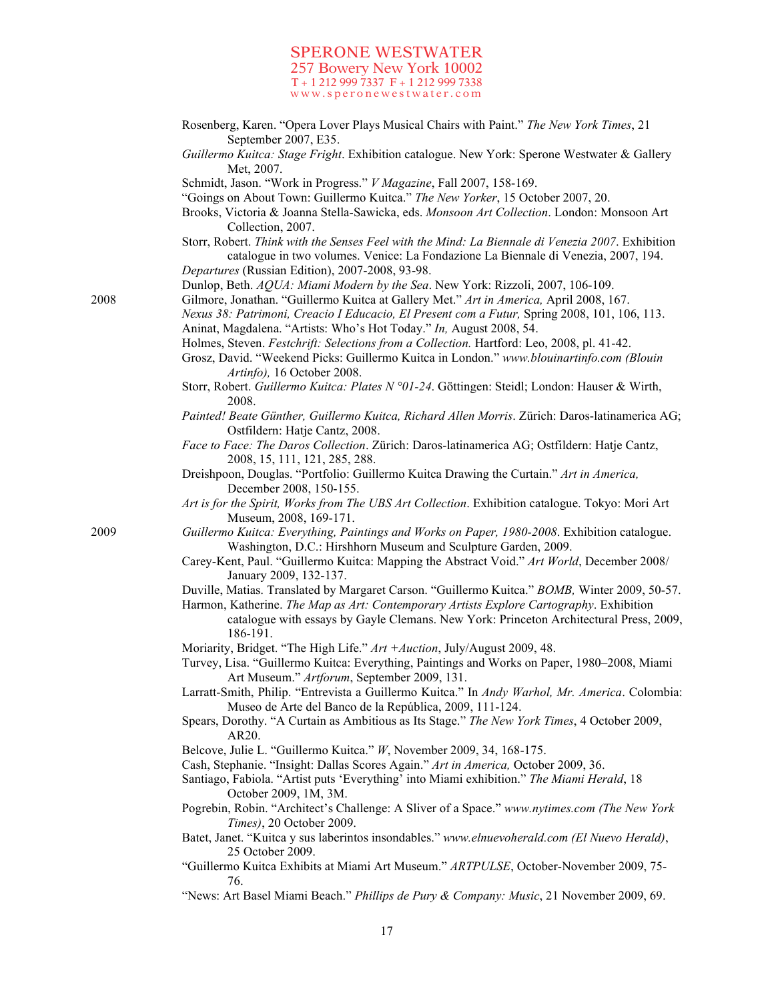- Rosenberg, Karen. "Opera Lover Plays Musical Chairs with Paint." *The New York Times*, 21 September 2007, E35.
- *Guillermo Kuitca: Stage Fright*. Exhibition catalogue. New York: Sperone Westwater & Gallery Met, 2007.
- Schmidt, Jason. "Work in Progress." *V Magazine*, Fall 2007, 158-169.
- "Goings on About Town: Guillermo Kuitca." *The New Yorker*, 15 October 2007, 20.
- Brooks, Victoria & Joanna Stella-Sawicka, eds. *Monsoon Art Collection*. London: Monsoon Art Collection, 2007.
- Storr, Robert. *Think with the Senses Feel with the Mind: La Biennale di Venezia 2007*. Exhibition catalogue in two volumes. Venice: La Fondazione La Biennale di Venezia, 2007, 194. *Departures* (Russian Edition), 2007-2008, 93-98.
- Dunlop, Beth. *AQUA: Miami Modern by the Sea*. New York: Rizzoli, 2007, 106-109.
- 2008 Gilmore, Jonathan. "Guillermo Kuitca at Gallery Met." *Art in America,* April 2008, 167.
	- *Nexus 38: Patrimoni, Creacio I Educacio, El Present com a Futur,* Spring 2008, 101, 106, 113. Aninat, Magdalena. "Artists: Who's Hot Today." *In,* August 2008, 54.
	- Holmes, Steven. *Festchrift: Selections from a Collection.* Hartford: Leo, 2008, pl. 41-42.
	- Grosz, David. "Weekend Picks: Guillermo Kuitca in London." *www.blouinartinfo.com (Blouin Artinfo),* 16 October 2008.
	- Storr, Robert. *Guillermo Kuitca: Plates N °01-24*. Göttingen: Steidl; London: Hauser & Wirth, 2008.
	- *Painted! Beate Günther, Guillermo Kuitca, Richard Allen Morris*. Zürich: Daros-latinamerica AG; Ostfildern: Hatje Cantz, 2008.
	- *Face to Face: The Daros Collection*. Zürich: Daros-latinamerica AG; Ostfildern: Hatje Cantz, 2008, 15, 111, 121, 285, 288.
	- Dreishpoon, Douglas. "Portfolio: Guillermo Kuitca Drawing the Curtain." *Art in America,* December 2008, 150-155.
	- *Art is for the Spirit, Works from The UBS Art Collection*. Exhibition catalogue. Tokyo: Mori Art Museum, 2008, 169-171.
- 2009 *Guillermo Kuitca: Everything, Paintings and Works on Paper, 1980-2008*. Exhibition catalogue. Washington, D.C.: Hirshhorn Museum and Sculpture Garden, 2009.
	- Carey-Kent, Paul. "Guillermo Kuitca: Mapping the Abstract Void." *Art World*, December 2008/ January 2009, 132-137.
	- Duville, Matias. Translated by Margaret Carson. "Guillermo Kuitca." *BOMB,* Winter 2009, 50-57.

Harmon, Katherine. *The Map as Art: Contemporary Artists Explore Cartography*. Exhibition catalogue with essays by Gayle Clemans. New York: Princeton Architectural Press, 2009, 186-191.

- Moriarity, Bridget. "The High Life." *Art +Auction*, July/August 2009, 48.
- Turvey, Lisa. "Guillermo Kuitca: Everything, Paintings and Works on Paper, 1980–2008, Miami Art Museum." *Artforum*, September 2009, 131.
- Larratt-Smith, Philip. "Entrevista a Guillermo Kuitca." In *Andy Warhol, Mr. America*. Colombia: Museo de Arte del Banco de la República, 2009, 111-124.
- Spears, Dorothy. "A Curtain as Ambitious as Its Stage." *The New York Times*, 4 October 2009, AR20.
- Belcove, Julie L. "Guillermo Kuitca." *W*, November 2009, 34, 168-175.
- Cash, Stephanie. "Insight: Dallas Scores Again." *Art in America,* October 2009, 36.
- Santiago, Fabiola. "Artist puts 'Everything' into Miami exhibition." *The Miami Herald*, 18 October 2009, 1M, 3M.
- Pogrebin, Robin. "Architect's Challenge: A Sliver of a Space." *www.nytimes.com (The New York Times)*, 20 October 2009.
- Batet, Janet. "Kuitca y sus laberintos insondables." *www.elnuevoherald.com (El Nuevo Herald)*, 25 October 2009.
- "Guillermo Kuitca Exhibits at Miami Art Museum." *ARTPULSE*, October-November 2009, 75- 76.
- "News: Art Basel Miami Beach." *Phillips de Pury & Company: Music*, 21 November 2009, 69.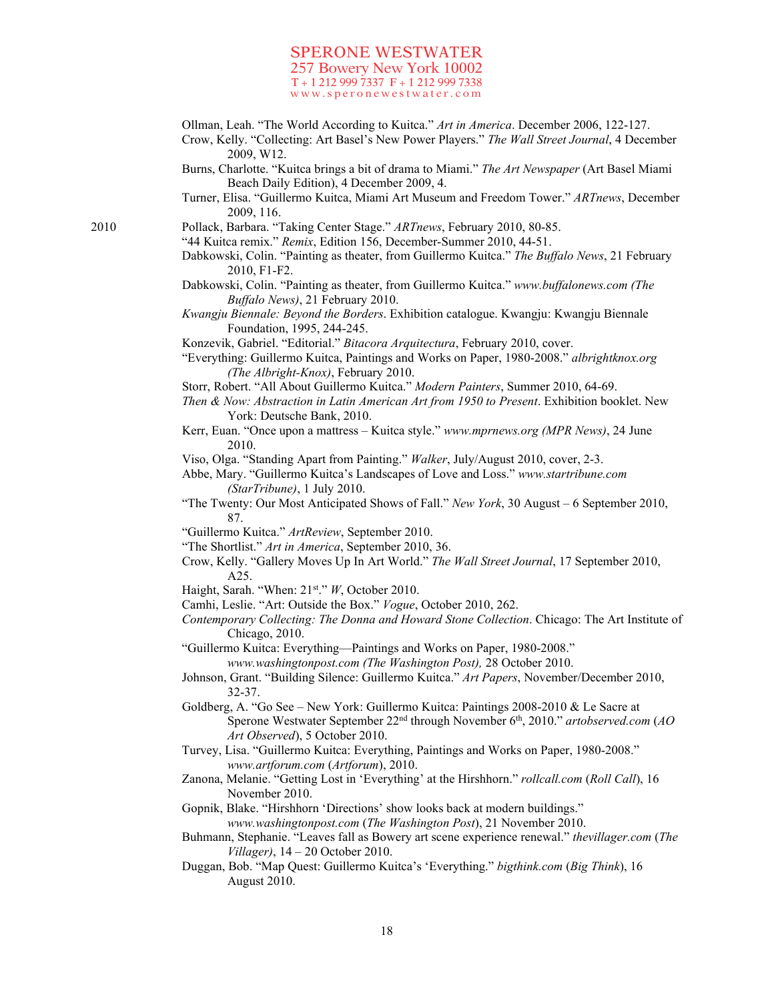- Ollman, Leah. "The World According to Kuitca." *Art in America*. December 2006, 122-127.
- Crow, Kelly. "Collecting: Art Basel's New Power Players." *The Wall Street Journal*, 4 December 2009, W12.
- Burns, Charlotte. "Kuitca brings a bit of drama to Miami." *The Art Newspaper* (Art Basel Miami Beach Daily Edition), 4 December 2009, 4.
- Turner, Elisa. "Guillermo Kuitca, Miami Art Museum and Freedom Tower." *ARTnews*, December 2009, 116.
- 2010 Pollack, Barbara. "Taking Center Stage." *ARTnews*, February 2010, 80-85.
	- "44 Kuitca remix." *Remix*, Edition 156, December-Summer 2010, 44-51.
		- Dabkowski, Colin. "Painting as theater, from Guillermo Kuitca." *The Buffalo News*, 21 February 2010, F1-F2.
		- Dabkowski, Colin. "Painting as theater, from Guillermo Kuitca." *www.buffalonews.com (The Buffalo News)*, 21 February 2010.
		- *Kwangju Biennale: Beyond the Borders*. Exhibition catalogue. Kwangju: Kwangju Biennale Foundation, 1995, 244-245.
		- Konzevik, Gabriel. "Editorial." *Bitacora Arquitectura*, February 2010, cover.
		- "Everything: Guillermo Kuitca, Paintings and Works on Paper, 1980-2008." *albrightknox.org (The Albright-Knox)*, February 2010.
	- Storr, Robert. "All About Guillermo Kuitca." *Modern Painters*, Summer 2010, 64-69.
	- *Then & Now: Abstraction in Latin American Art from 1950 to Present*. Exhibition booklet. New York: Deutsche Bank, 2010.
	- Kerr, Euan. "Once upon a mattress Kuitca style." *www.mprnews.org (MPR News)*, 24 June 2010.
	- Viso, Olga. "Standing Apart from Painting." *Walker*, July/August 2010, cover, 2-3.

Abbe, Mary. "Guillermo Kuitca's Landscapes of Love and Loss." *www.startribune.com (StarTribune)*, 1 July 2010.

- "The Twenty: Our Most Anticipated Shows of Fall." *New York*, 30 August 6 September 2010, 87.
- "Guillermo Kuitca." *ArtReview*, September 2010.
- "The Shortlist." *Art in America*, September 2010, 36.
- Crow, Kelly. "Gallery Moves Up In Art World." *The Wall Street Journal*, 17 September 2010, A25.
- Haight, Sarah. "When: 21st." *W*, October 2010.
- Camhi, Leslie. "Art: Outside the Box." *Vogue*, October 2010, 262.
- *Contemporary Collecting: The Donna and Howard Stone Collection*. Chicago: The Art Institute of Chicago, 2010.
- "Guillermo Kuitca: Everything—Paintings and Works on Paper, 1980-2008." *www.washingtonpost.com (The Washington Post),* 28 October 2010.
- Johnson, Grant. "Building Silence: Guillermo Kuitca." *Art Papers*, November/December 2010, 32-37.
- Goldberg, A. "Go See New York: Guillermo Kuitca: Paintings 2008-2010 & Le Sacre at Sperone Westwater September 22nd through November 6th, 2010." *artobserved.com* (*AO Art Observed*), 5 October 2010.
- Turvey, Lisa. "Guillermo Kuitca: Everything, Paintings and Works on Paper, 1980-2008." *www.artforum.com* (*Artforum*), 2010.
- Zanona, Melanie. "Getting Lost in 'Everything' at the Hirshhorn." *rollcall.com* (*Roll Call*), 16 November 2010.

Gopnik, Blake. "Hirshhorn 'Directions' show looks back at modern buildings." *www.washingtonpost.com* (*The Washington Post*), 21 November 2010.

- Buhmann, Stephanie. "Leaves fall as Bowery art scene experience renewal." *thevillager.com* (*The Villager)*, 14 – 20 October 2010.
- Duggan, Bob. "Map Quest: Guillermo Kuitca's 'Everything." *bigthink.com* (*Big Think*), 16 August 2010.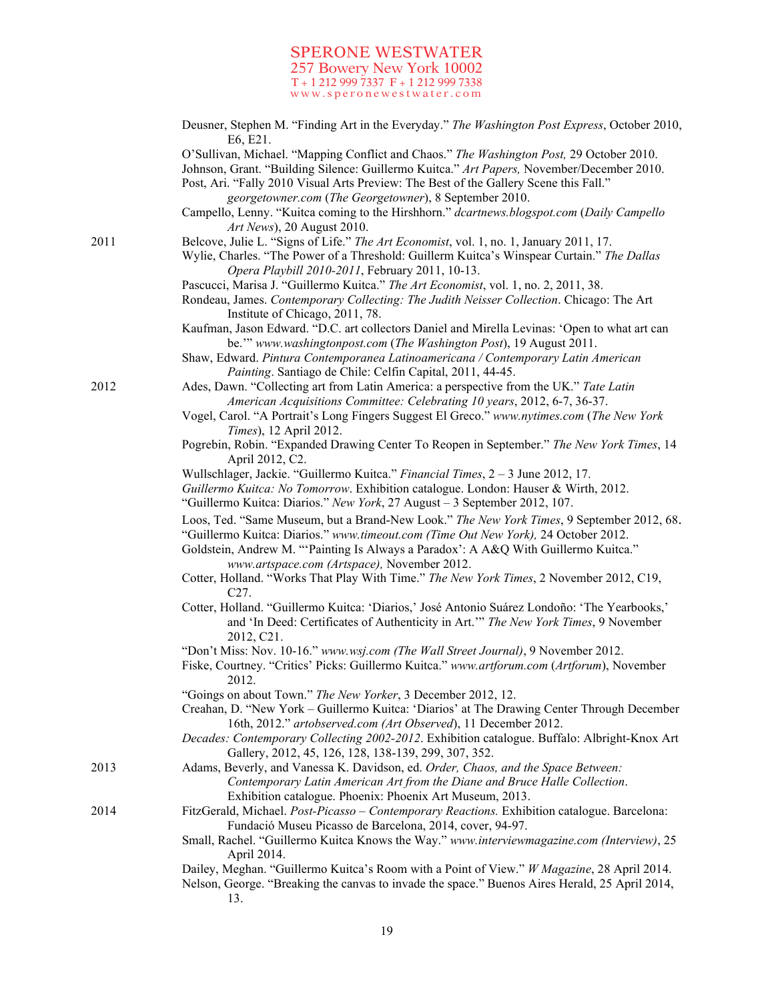|      | Deusner, Stephen M. "Finding Art in the Everyday." The Washington Post Express, October 2010,<br>E6, E21.                                                                                                                                                                      |
|------|--------------------------------------------------------------------------------------------------------------------------------------------------------------------------------------------------------------------------------------------------------------------------------|
|      | O'Sullivan, Michael. "Mapping Conflict and Chaos." The Washington Post, 29 October 2010.<br>Johnson, Grant. "Building Silence: Guillermo Kuitca." Art Papers, November/December 2010.<br>Post, Ari. "Fally 2010 Visual Arts Preview: The Best of the Gallery Scene this Fall." |
|      | georgetowner.com (The Georgetowner), 8 September 2010.                                                                                                                                                                                                                         |
|      | Campello, Lenny. "Kuitca coming to the Hirshhorn." dcartnews.blogspot.com (Daily Campello<br>Art News), 20 August 2010.                                                                                                                                                        |
| 2011 | Belcove, Julie L. "Signs of Life." The Art Economist, vol. 1, no. 1, January 2011, 17.                                                                                                                                                                                         |
|      | Wylie, Charles. "The Power of a Threshold: Guillerm Kuitca's Winspear Curtain." The Dallas<br>Opera Playbill 2010-2011, February 2011, 10-13.                                                                                                                                  |
|      | Pascucci, Marisa J. "Guillermo Kuitca." The Art Economist, vol. 1, no. 2, 2011, 38.                                                                                                                                                                                            |
|      | Rondeau, James. Contemporary Collecting: The Judith Neisser Collection. Chicago: The Art<br>Institute of Chicago, 2011, 78.                                                                                                                                                    |
|      | Kaufman, Jason Edward. "D.C. art collectors Daniel and Mirella Levinas: 'Open to what art can<br>be." www.washingtonpost.com (The Washington Post), 19 August 2011.                                                                                                            |
|      | Shaw, Edward. Pintura Contemporanea Latinoamericana / Contemporary Latin American<br>Painting. Santiago de Chile: Celfin Capital, 2011, 44-45.                                                                                                                                 |
| 2012 | Ades, Dawn. "Collecting art from Latin America: a perspective from the UK." Tate Latin                                                                                                                                                                                         |
|      | American Acquisitions Committee: Celebrating 10 years, 2012, 6-7, 36-37.                                                                                                                                                                                                       |
|      | Vogel, Carol. "A Portrait's Long Fingers Suggest El Greco." www.nytimes.com (The New York<br>Times), 12 April 2012.                                                                                                                                                            |
|      | Pogrebin, Robin. "Expanded Drawing Center To Reopen in September." The New York Times, 14<br>April 2012, C2.                                                                                                                                                                   |
|      | Wullschlager, Jackie. "Guillermo Kuitca." Financial Times, 2 - 3 June 2012, 17.                                                                                                                                                                                                |
|      | Guillermo Kuitca: No Tomorrow. Exhibition catalogue. London: Hauser & Wirth, 2012.                                                                                                                                                                                             |
|      | "Guillermo Kuitca: Diarios." New York, 27 August - 3 September 2012, 107.                                                                                                                                                                                                      |
|      | Loos, Ted. "Same Museum, but a Brand-New Look." The New York Times, 9 September 2012, 68.<br>"Guillermo Kuitca: Diarios." www.timeout.com (Time Out New York), 24 October 2012.                                                                                                |
|      | Goldstein, Andrew M. "Painting Is Always a Paradox': A A&Q With Guillermo Kuitca."<br>www.artspace.com (Artspace), November 2012.                                                                                                                                              |
|      | Cotter, Holland. "Works That Play With Time." The New York Times, 2 November 2012, C19,<br>C <sub>27</sub> .                                                                                                                                                                   |
|      | Cotter, Holland. "Guillermo Kuitca: 'Diarios,' José Antonio Suárez Londoño: 'The Yearbooks,'<br>and 'In Deed: Certificates of Authenticity in Art." The New York Times, 9 November<br>2012, C21.                                                                               |
|      | "Don't Miss: Nov. 10-16." www.wsj.com (The Wall Street Journal), 9 November 2012.                                                                                                                                                                                              |
|      | Fiske, Courtney. "Critics' Picks: Guillermo Kuitca." www.artforum.com (Artforum), November<br>2012.                                                                                                                                                                            |
|      | "Goings on about Town." The New Yorker, 3 December 2012, 12.                                                                                                                                                                                                                   |
|      | Creahan, D. "New York - Guillermo Kuitca: 'Diarios' at The Drawing Center Through December<br>16th, 2012." artobserved.com (Art Observed), 11 December 2012.                                                                                                                   |
|      | Decades: Contemporary Collecting 2002-2012. Exhibition catalogue. Buffalo: Albright-Knox Art<br>Gallery, 2012, 45, 126, 128, 138-139, 299, 307, 352.                                                                                                                           |
| 2013 | Adams, Beverly, and Vanessa K. Davidson, ed. Order, Chaos, and the Space Between:<br>Contemporary Latin American Art from the Diane and Bruce Halle Collection.<br>Exhibition catalogue. Phoenix: Phoenix Art Museum, 2013.                                                    |
| 2014 | FitzGerald, Michael. Post-Picasso - Contemporary Reactions. Exhibition catalogue. Barcelona:<br>Fundació Museu Picasso de Barcelona, 2014, cover, 94-97.                                                                                                                       |
|      | Small, Rachel. "Guillermo Kuitca Knows the Way." www.interviewmagazine.com (Interview), 25<br>April 2014.                                                                                                                                                                      |
|      | Dailey, Meghan. "Guillermo Kuitca's Room with a Point of View." W Magazine, 28 April 2014.                                                                                                                                                                                     |
|      | Nelson, George. "Breaking the canvas to invade the space." Buenos Aires Herald, 25 April 2014,<br>13.                                                                                                                                                                          |
|      |                                                                                                                                                                                                                                                                                |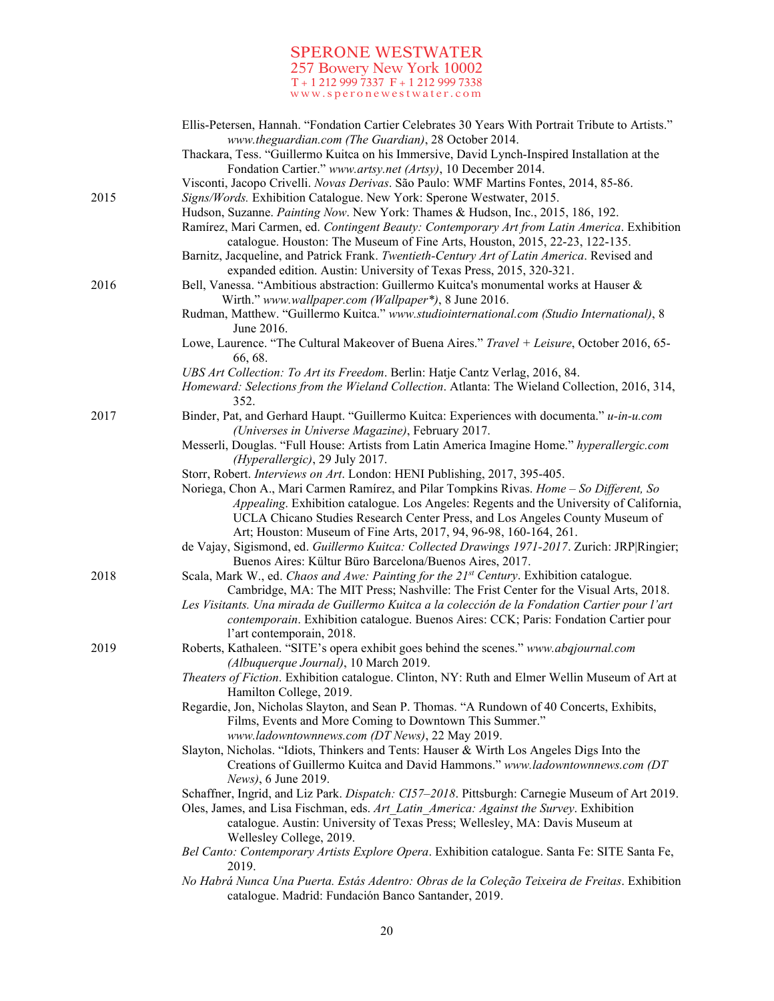|      | Ellis-Petersen, Hannah. "Fondation Cartier Celebrates 30 Years With Portrait Tribute to Artists."<br>www.theguardian.com (The Guardian), 28 October 2014.                           |
|------|-------------------------------------------------------------------------------------------------------------------------------------------------------------------------------------|
|      | Thackara, Tess. "Guillermo Kuitca on his Immersive, David Lynch-Inspired Installation at the                                                                                        |
|      | Fondation Cartier." www.artsy.net (Artsy), 10 December 2014.<br>Visconti, Jacopo Crivelli. Novas Derivas. São Paulo: WMF Martins Fontes, 2014, 85-86.                               |
| 2015 | Signs/Words. Exhibition Catalogue. New York: Sperone Westwater, 2015.                                                                                                               |
|      | Hudson, Suzanne. Painting Now. New York: Thames & Hudson, Inc., 2015, 186, 192.                                                                                                     |
|      | Ramírez, Mari Carmen, ed. Contingent Beauty: Contemporary Art from Latin America. Exhibition<br>catalogue. Houston: The Museum of Fine Arts, Houston, 2015, 22-23, 122-135.         |
|      | Barnitz, Jacqueline, and Patrick Frank. Twentieth-Century Art of Latin America. Revised and                                                                                         |
|      | expanded edition. Austin: University of Texas Press, 2015, 320-321.                                                                                                                 |
| 2016 | Bell, Vanessa. "Ambitious abstraction: Guillermo Kuitca's monumental works at Hauser &<br>Wirth." www.wallpaper.com (Wallpaper*), 8 June 2016.                                      |
|      | Rudman, Matthew. "Guillermo Kuitca." www.studiointernational.com (Studio International), 8<br>June 2016.                                                                            |
|      | Lowe, Laurence. "The Cultural Makeover of Buena Aires." Travel + Leisure, October 2016, 65-<br>66, 68.                                                                              |
|      | UBS Art Collection: To Art its Freedom. Berlin: Hatje Cantz Verlag, 2016, 84.                                                                                                       |
|      | Homeward: Selections from the Wieland Collection. Atlanta: The Wieland Collection, 2016, 314,<br>352.                                                                               |
| 2017 | Binder, Pat, and Gerhard Haupt. "Guillermo Kuitca: Experiences with documenta." u-in-u.com<br>(Universes in Universe Magazine), February 2017.                                      |
|      | Messerli, Douglas. "Full House: Artists from Latin America Imagine Home." hyperallergic.com<br>(Hyperallergic), 29 July 2017.                                                       |
|      | Storr, Robert. Interviews on Art. London: HENI Publishing, 2017, 395-405.                                                                                                           |
|      | Noriega, Chon A., Mari Carmen Ramírez, and Pilar Tompkins Rivas. Home - So Different, So<br>Appealing. Exhibition catalogue. Los Angeles: Regents and the University of California, |
|      | UCLA Chicano Studies Research Center Press, and Los Angeles County Museum of                                                                                                        |
|      | Art; Houston: Museum of Fine Arts, 2017, 94, 96-98, 160-164, 261.                                                                                                                   |
|      | de Vajay, Sigismond, ed. Guillermo Kuitca: Collected Drawings 1971-2017. Zurich: JRP Ringier;                                                                                       |
|      | Buenos Aires: Kültur Büro Barcelona/Buenos Aires, 2017.                                                                                                                             |
| 2018 | Scala, Mark W., ed. Chaos and Awe: Painting for the 21st Century. Exhibition catalogue.<br>Cambridge, MA: The MIT Press; Nashville: The Frist Center for the Visual Arts, 2018.     |
|      | Les Visitants. Una mirada de Guillermo Kuitca a la colección de la Fondation Cartier pour l'art                                                                                     |
|      | contemporain. Exhibition catalogue. Buenos Aires: CCK; Paris: Fondation Cartier pour                                                                                                |
|      | l'art contemporain, 2018.                                                                                                                                                           |
| 2019 | Roberts, Kathaleen. "SITE's opera exhibit goes behind the scenes." www.abqjournal.com<br>(Albuquerque Journal), 10 March 2019.                                                      |
|      | Theaters of Fiction. Exhibition catalogue. Clinton, NY: Ruth and Elmer Wellin Museum of Art at<br>Hamilton College, 2019.                                                           |
|      | Regardie, Jon, Nicholas Slayton, and Sean P. Thomas. "A Rundown of 40 Concerts, Exhibits,                                                                                           |
|      | Films, Events and More Coming to Downtown This Summer."<br>www.ladowntownnews.com (DT News), 22 May 2019.                                                                           |
|      | Slayton, Nicholas. "Idiots, Thinkers and Tents: Hauser & Wirth Los Angeles Digs Into the                                                                                            |
|      | Creations of Guillermo Kuitca and David Hammons." www.ladowntownnews.com (DT<br>News), 6 June 2019.                                                                                 |
|      | Schaffner, Ingrid, and Liz Park. Dispatch: CI57-2018. Pittsburgh: Carnegie Museum of Art 2019.                                                                                      |
|      | Oles, James, and Lisa Fischman, eds. Art Latin America: Against the Survey. Exhibition<br>catalogue. Austin: University of Texas Press; Wellesley, MA: Davis Museum at              |
|      | Wellesley College, 2019.<br>Bel Canto: Contemporary Artists Explore Opera. Exhibition catalogue. Santa Fe: SITE Santa Fe,<br>2019.                                                  |
|      | No Habrá Nunca Una Puerta. Estás Adentro: Obras de la Coleção Teixeira de Freitas. Exhibition<br>catalogue. Madrid: Fundación Banco Santander, 2019.                                |
|      |                                                                                                                                                                                     |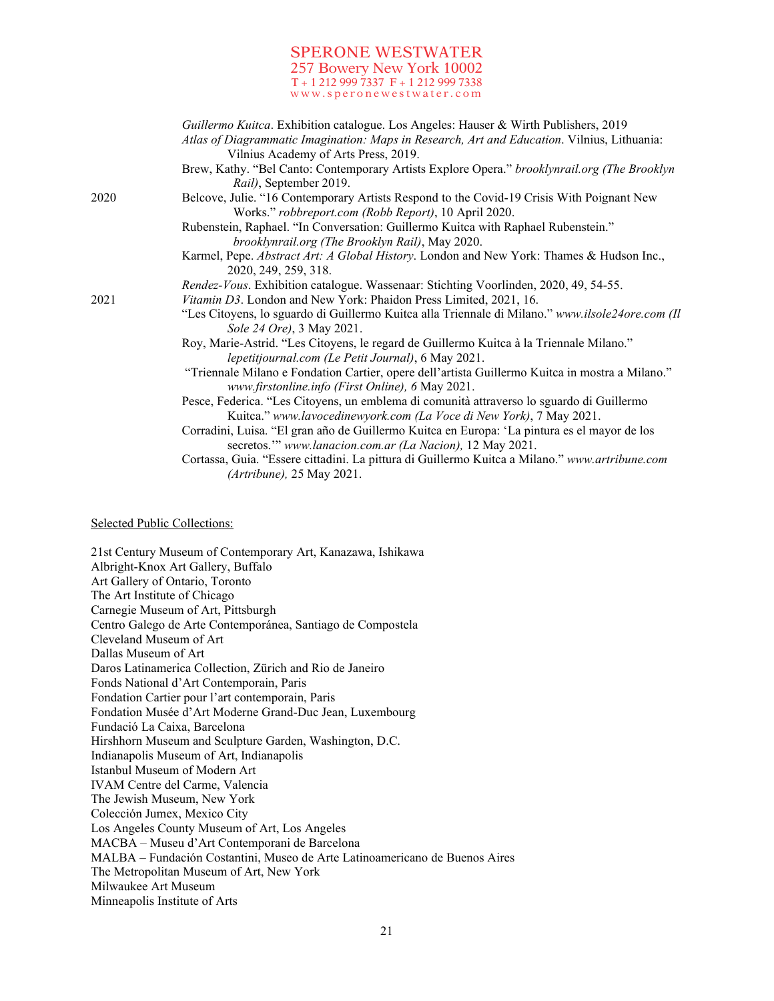|      | Guillermo Kuitca. Exhibition catalogue. Los Angeles: Hauser & Wirth Publishers, 2019<br>Atlas of Diagrammatic Imagination: Maps in Research, Art and Education. Vilnius, Lithuania:<br>Vilnius Academy of Arts Press, 2019. |
|------|-----------------------------------------------------------------------------------------------------------------------------------------------------------------------------------------------------------------------------|
|      | Brew, Kathy. "Bel Canto: Contemporary Artists Explore Opera." brooklynrail.org (The Brooklyn<br>Rail), September 2019.                                                                                                      |
| 2020 | Belcove, Julie. "16 Contemporary Artists Respond to the Covid-19 Crisis With Poignant New<br>Works." robbreport.com (Robb Report), 10 April 2020.                                                                           |
|      | Rubenstein, Raphael. "In Conversation: Guillermo Kuitca with Raphael Rubenstein."<br>brooklynrail.org (The Brooklyn Rail), May 2020.                                                                                        |
|      | Karmel, Pepe. Abstract Art: A Global History. London and New York: Thames & Hudson Inc.,<br>2020, 249, 259, 318.                                                                                                            |
|      | Rendez-Vous. Exhibition catalogue. Wassenaar: Stichting Voorlinden, 2020, 49, 54-55.                                                                                                                                        |
| 2021 | Vitamin D3. London and New York: Phaidon Press Limited, 2021, 16.                                                                                                                                                           |
|      | "Les Citoyens, lo sguardo di Guillermo Kuitca alla Triennale di Milano." www.ilsole24ore.com (Il<br>Sole 24 Ore), 3 May 2021.                                                                                               |
|      | Roy, Marie-Astrid. "Les Citoyens, le regard de Guillermo Kuitca à la Triennale Milano."<br>lepetitjournal.com (Le Petit Journal), 6 May 2021.                                                                               |
|      | "Triennale Milano e Fondation Cartier, opere dell'artista Guillermo Kuitca in mostra a Milano."<br>www.firstonline.info (First Online), 6 May 2021.                                                                         |
|      | Pesce, Federica. "Les Citoyens, un emblema di comunità attraverso lo sguardo di Guillermo<br>Kuitca." www.lavocedinewyork.com (La Voce di New York), 7 May 2021.                                                            |
|      | Corradini, Luisa. "El gran año de Guillermo Kuitca en Europa: 'La pintura es el mayor de los<br>secretos."" www.lanacion.com.ar (La Nacion), 12 May 2021.                                                                   |
|      | Cortassa, Guia. "Essere cittadini. La pittura di Guillermo Kuitca a Milano." www.artribune.com<br>(Artribune), 25 May 2021.                                                                                                 |
|      |                                                                                                                                                                                                                             |

Selected Public Collections:

21st Century Museum of Contemporary Art, Kanazawa, Ishikawa Albright-Knox Art Gallery, Buffalo Art Gallery of Ontario, Toronto The Art Institute of Chicago Carnegie Museum of Art, Pittsburgh Centro Galego de Arte Contemporánea, Santiago de Compostela Cleveland Museum of Art Dallas Museum of Art Daros Latinamerica Collection, Zürich and Rio de Janeiro Fonds National d'Art Contemporain, Paris Fondation Cartier pour l'art contemporain, Paris Fondation Musée d'Art Moderne Grand-Duc Jean, Luxembourg Fundació La Caixa, Barcelona Hirshhorn Museum and Sculpture Garden, Washington, D.C. Indianapolis Museum of Art, Indianapolis Istanbul Museum of Modern Art IVAM Centre del Carme, Valencia The Jewish Museum, New York Colección Jumex, Mexico City Los Angeles County Museum of Art, Los Angeles MACBA – Museu d'Art Contemporani de Barcelona MALBA – Fundación Costantini, Museo de Arte Latinoamericano de Buenos Aires The Metropolitan Museum of Art, New York Milwaukee Art Museum Minneapolis Institute of Arts